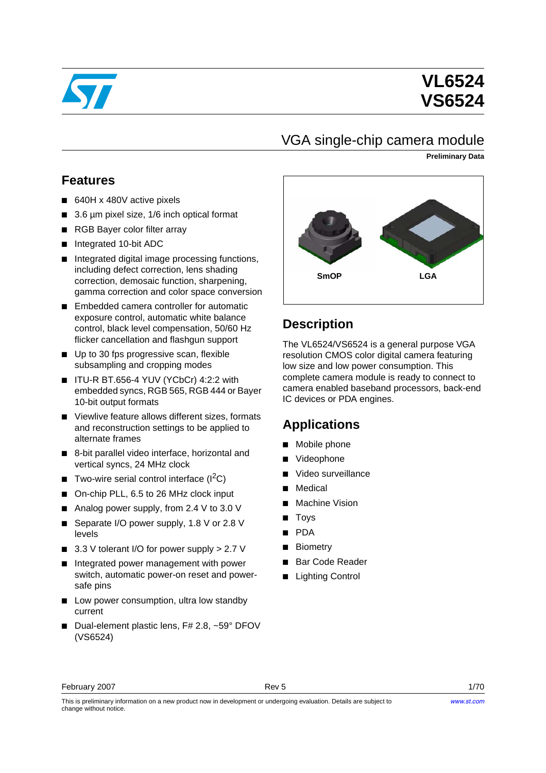

# **VL6524 VS6524**

## VGA single-chip camera module

**Preliminary Data**

## **Features**

- 640H x 480V active pixels
- 3.6 µm pixel size, 1/6 inch optical format
- RGB Bayer color filter array
- Integrated 10-bit ADC
- Integrated digital image processing functions, including defect correction, lens shading correction, demosaic function, sharpening, gamma correction and color space conversion
- Embedded camera controller for automatic exposure control, automatic white balance control, black level compensation, 50/60 Hz flicker cancellation and flashgun support
- Up to 30 fps progressive scan, flexible subsampling and cropping modes
- ITU-R BT.656-4 YUV (YCbCr) 4:2:2 with embedded syncs, RGB 565, RGB 444 or Bayer 10-bit output formats
- Viewlive feature allows different sizes, formats and reconstruction settings to be applied to alternate frames
- 8-bit parallel video interface, horizontal and vertical syncs, 24 MHz clock
- Two-wire serial control interface  $(I^2C)$
- On-chip PLL, 6.5 to 26 MHz clock input
- Analog power supply, from 2.4 V to 3.0 V
- Separate I/O power supply, 1.8 V or 2.8 V levels
- 3.3 V tolerant I/O for power supply > 2.7 V
- Integrated power management with power switch, automatic power-on reset and powersafe pins
- Low power consumption, ultra low standby current
- Dual-element plastic lens, F# 2.8, ~59° DFOV (VS6524)



## **Description**

The VL6524/VS6524 is a general purpose VGA resolution CMOS color digital camera featuring low size and low power consumption. This complete camera module is ready to connect to camera enabled baseband processors, back-end IC devices or PDA engines.

## **Applications**

- Mobile phone
- **Videophone**
- Video surveillance
- **Medical**
- Machine Vision
- **Toys**
- PDA
- Biometry
- Bar Code Reader
- **Lighting Control**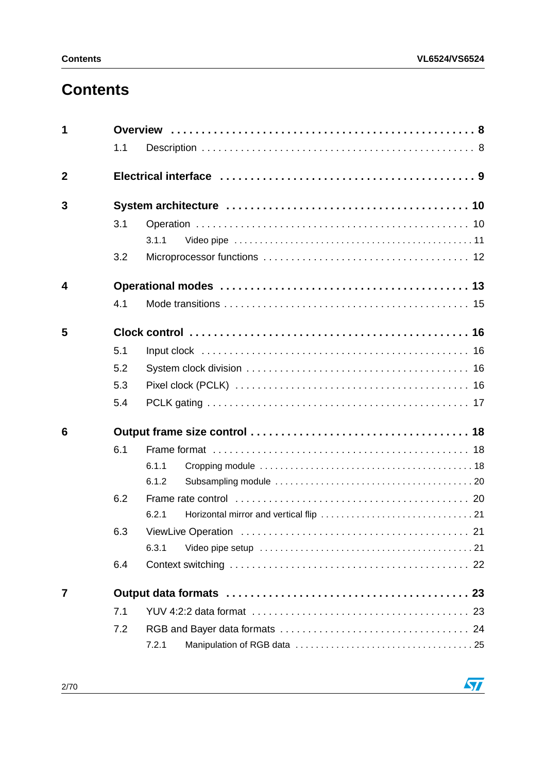# **Contents**

| 1              |     |       |
|----------------|-----|-------|
|                | 1.1 |       |
| $\overline{2}$ |     |       |
| 3              |     |       |
|                | 3.1 |       |
|                |     | 3.1.1 |
|                | 3.2 |       |
| 4              |     |       |
|                | 4.1 |       |
| 5              |     |       |
|                | 5.1 |       |
|                | 5.2 |       |
|                | 5.3 |       |
|                | 5.4 |       |
| 6              |     |       |
|                | 6.1 |       |
|                |     | 6.1.1 |
|                |     | 6.1.2 |
|                | 6.2 |       |
|                |     | 6.2.1 |
|                | 6.3 | 21    |
|                |     | 6.3.1 |
|                | 6.4 |       |
| 7              |     |       |
|                | 7.1 |       |
|                | 7.2 |       |
|                |     | 7.2.1 |

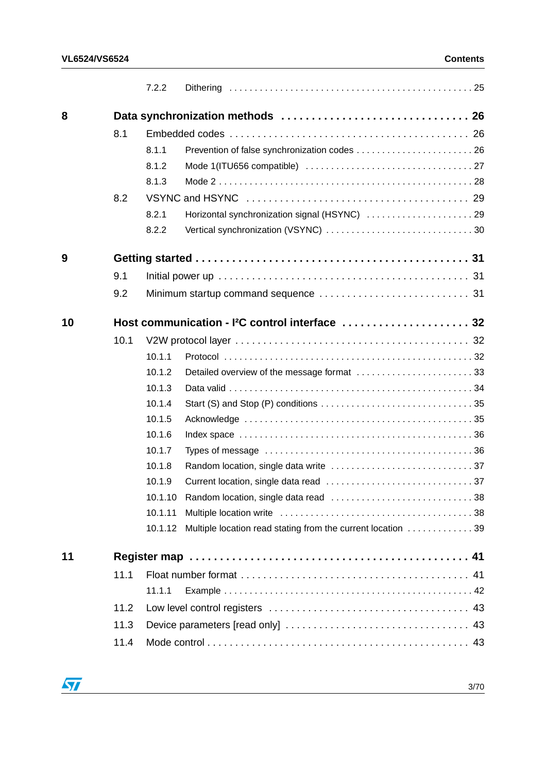| 8<br>8.1<br>8.1.1<br>8.1.2<br>8.1.3<br>8.2<br>8.2.1<br>8.2.2<br>9<br>9.1<br>9.2<br>Host communication - I <sup>2</sup> C control interface  32<br>10<br>10.1<br>10.1.1<br>10.1.2<br>10.1.3<br>10.1.4<br>10.1.5<br>10.1.6<br>10.1.7<br>10.1.8<br>10.1.9<br>10.1.10<br>10.1.11<br>10.1.12<br>11<br>11.1<br>11.1.1 |  | 7.2.2 |                                                             |
|-----------------------------------------------------------------------------------------------------------------------------------------------------------------------------------------------------------------------------------------------------------------------------------------------------------------|--|-------|-------------------------------------------------------------|
|                                                                                                                                                                                                                                                                                                                 |  |       |                                                             |
|                                                                                                                                                                                                                                                                                                                 |  |       |                                                             |
|                                                                                                                                                                                                                                                                                                                 |  |       |                                                             |
|                                                                                                                                                                                                                                                                                                                 |  |       |                                                             |
|                                                                                                                                                                                                                                                                                                                 |  |       |                                                             |
|                                                                                                                                                                                                                                                                                                                 |  |       |                                                             |
|                                                                                                                                                                                                                                                                                                                 |  |       | Horizontal synchronization signal (HSYNC)  29               |
|                                                                                                                                                                                                                                                                                                                 |  |       |                                                             |
|                                                                                                                                                                                                                                                                                                                 |  |       |                                                             |
|                                                                                                                                                                                                                                                                                                                 |  |       |                                                             |
|                                                                                                                                                                                                                                                                                                                 |  |       |                                                             |
|                                                                                                                                                                                                                                                                                                                 |  |       |                                                             |
|                                                                                                                                                                                                                                                                                                                 |  |       |                                                             |
|                                                                                                                                                                                                                                                                                                                 |  |       |                                                             |
|                                                                                                                                                                                                                                                                                                                 |  |       | Detailed overview of the message format 33                  |
|                                                                                                                                                                                                                                                                                                                 |  |       |                                                             |
|                                                                                                                                                                                                                                                                                                                 |  |       |                                                             |
|                                                                                                                                                                                                                                                                                                                 |  |       |                                                             |
|                                                                                                                                                                                                                                                                                                                 |  |       |                                                             |
|                                                                                                                                                                                                                                                                                                                 |  |       |                                                             |
|                                                                                                                                                                                                                                                                                                                 |  |       |                                                             |
|                                                                                                                                                                                                                                                                                                                 |  |       |                                                             |
|                                                                                                                                                                                                                                                                                                                 |  |       |                                                             |
|                                                                                                                                                                                                                                                                                                                 |  |       |                                                             |
|                                                                                                                                                                                                                                                                                                                 |  |       | Multiple location read stating from the current location 39 |
|                                                                                                                                                                                                                                                                                                                 |  |       |                                                             |
|                                                                                                                                                                                                                                                                                                                 |  |       |                                                             |
|                                                                                                                                                                                                                                                                                                                 |  |       |                                                             |
| 11.2                                                                                                                                                                                                                                                                                                            |  |       |                                                             |
| 11.3                                                                                                                                                                                                                                                                                                            |  |       |                                                             |
| 11.4                                                                                                                                                                                                                                                                                                            |  |       |                                                             |

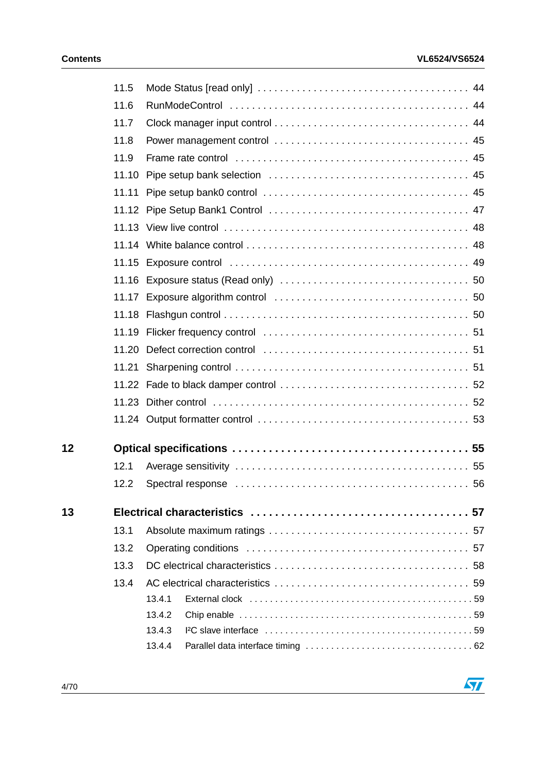$\overline{\mathbf{57}}$ 

|    | 11.5  |                                                                                                                                                                                                                                         |
|----|-------|-----------------------------------------------------------------------------------------------------------------------------------------------------------------------------------------------------------------------------------------|
|    | 11.6  |                                                                                                                                                                                                                                         |
|    | 11.7  |                                                                                                                                                                                                                                         |
|    | 11.8  |                                                                                                                                                                                                                                         |
|    | 11.9  |                                                                                                                                                                                                                                         |
|    | 11.10 |                                                                                                                                                                                                                                         |
|    | 11.11 |                                                                                                                                                                                                                                         |
|    |       |                                                                                                                                                                                                                                         |
|    |       |                                                                                                                                                                                                                                         |
|    |       |                                                                                                                                                                                                                                         |
|    |       |                                                                                                                                                                                                                                         |
|    |       |                                                                                                                                                                                                                                         |
|    |       |                                                                                                                                                                                                                                         |
|    |       |                                                                                                                                                                                                                                         |
|    |       |                                                                                                                                                                                                                                         |
|    |       |                                                                                                                                                                                                                                         |
|    | 11.21 |                                                                                                                                                                                                                                         |
|    |       |                                                                                                                                                                                                                                         |
|    |       |                                                                                                                                                                                                                                         |
|    |       |                                                                                                                                                                                                                                         |
| 12 |       |                                                                                                                                                                                                                                         |
|    | 12.1  |                                                                                                                                                                                                                                         |
|    | 12.2  |                                                                                                                                                                                                                                         |
| 13 |       |                                                                                                                                                                                                                                         |
|    | 13.1  |                                                                                                                                                                                                                                         |
|    | 13.2  |                                                                                                                                                                                                                                         |
|    | 13.3  |                                                                                                                                                                                                                                         |
|    | 13.4  |                                                                                                                                                                                                                                         |
|    |       | External clock (and successive contracts) and the set of the set of the set of the set of the set of the set of the set of the set of the set of the set of the set of the set of the set of the set of the set of the set of<br>13.4.1 |
|    |       | 13.4.2                                                                                                                                                                                                                                  |
|    |       | 13.4.3                                                                                                                                                                                                                                  |
|    |       | 13.4.4                                                                                                                                                                                                                                  |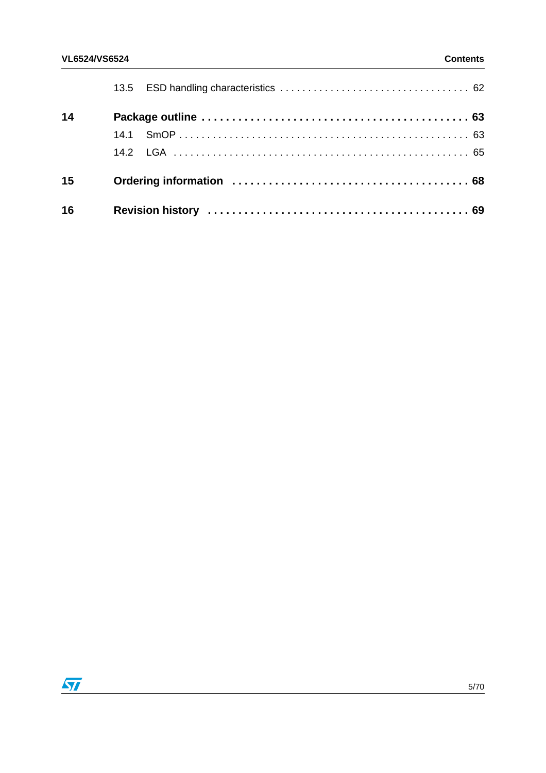| 14 |  |  |
|----|--|--|
|    |  |  |
|    |  |  |
| 15 |  |  |
| 16 |  |  |

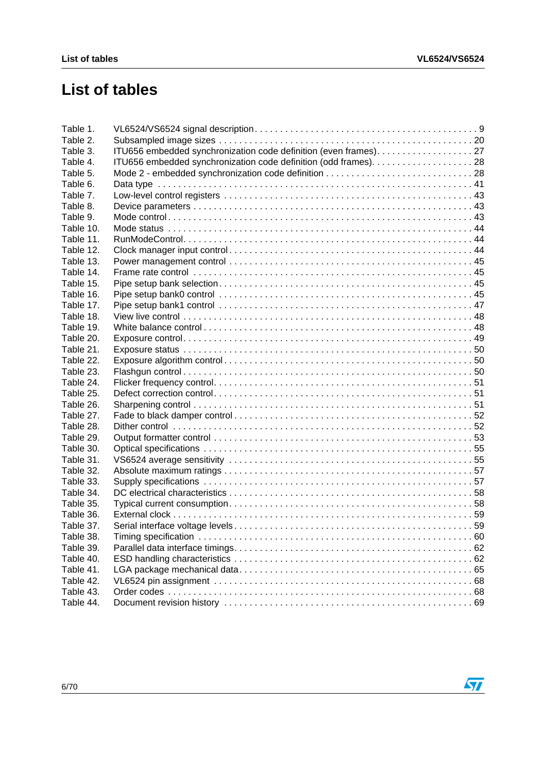# **List of tables**

| Table 1.  |                                                                 |  |
|-----------|-----------------------------------------------------------------|--|
| Table 2.  |                                                                 |  |
| Table 3.  | ITU656 embedded synchronization code definition (even frames)27 |  |
| Table 4.  |                                                                 |  |
| Table 5.  |                                                                 |  |
| Table 6.  |                                                                 |  |
| Table 7.  |                                                                 |  |
| Table 8.  |                                                                 |  |
| Table 9.  |                                                                 |  |
| Table 10. |                                                                 |  |
| Table 11. |                                                                 |  |
| Table 12. |                                                                 |  |
| Table 13. |                                                                 |  |
| Table 14. |                                                                 |  |
| Table 15. |                                                                 |  |
| Table 16. |                                                                 |  |
| Table 17. |                                                                 |  |
| Table 18. |                                                                 |  |
| Table 19. |                                                                 |  |
| Table 20. |                                                                 |  |
| Table 21. |                                                                 |  |
| Table 22. |                                                                 |  |
| Table 23. |                                                                 |  |
| Table 24. |                                                                 |  |
| Table 25. |                                                                 |  |
| Table 26. |                                                                 |  |
| Table 27. |                                                                 |  |
| Table 28. |                                                                 |  |
| Table 29. |                                                                 |  |
| Table 30. |                                                                 |  |
| Table 31. |                                                                 |  |
| Table 32. |                                                                 |  |
| Table 33. |                                                                 |  |
| Table 34. |                                                                 |  |
| Table 35. |                                                                 |  |
| Table 36. |                                                                 |  |
| Table 37. |                                                                 |  |
| Table 38. |                                                                 |  |
| Table 39. |                                                                 |  |
| Table 40. |                                                                 |  |
| Table 41. |                                                                 |  |
| Table 42. |                                                                 |  |
| Table 43. |                                                                 |  |
| Table 44. |                                                                 |  |

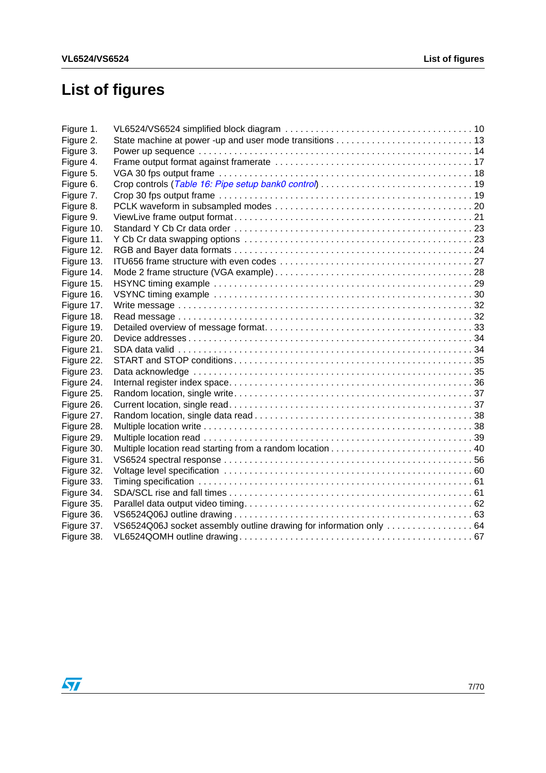# **List of figures**

| Figure 1.  |  |
|------------|--|
| Figure 2.  |  |
| Figure 3.  |  |
| Figure 4.  |  |
| Figure 5.  |  |
| Figure 6.  |  |
| Figure 7.  |  |
| Figure 8.  |  |
| Figure 9.  |  |
| Figure 10. |  |
| Figure 11. |  |
| Figure 12. |  |
| Figure 13. |  |
| Figure 14. |  |
| Figure 15. |  |
| Figure 16. |  |
| Figure 17. |  |
| Figure 18. |  |
| Figure 19. |  |
| Figure 20. |  |
| Figure 21. |  |
| Figure 22. |  |
| Figure 23. |  |
| Figure 24. |  |
| Figure 25. |  |
| Figure 26. |  |
| Figure 27. |  |
| Figure 28. |  |
| Figure 29. |  |
| Figure 30. |  |
| Figure 31. |  |
| Figure 32. |  |
| Figure 33. |  |
| Figure 34. |  |
| Figure 35. |  |
| Figure 36. |  |
| Figure 37. |  |
| Figure 38. |  |

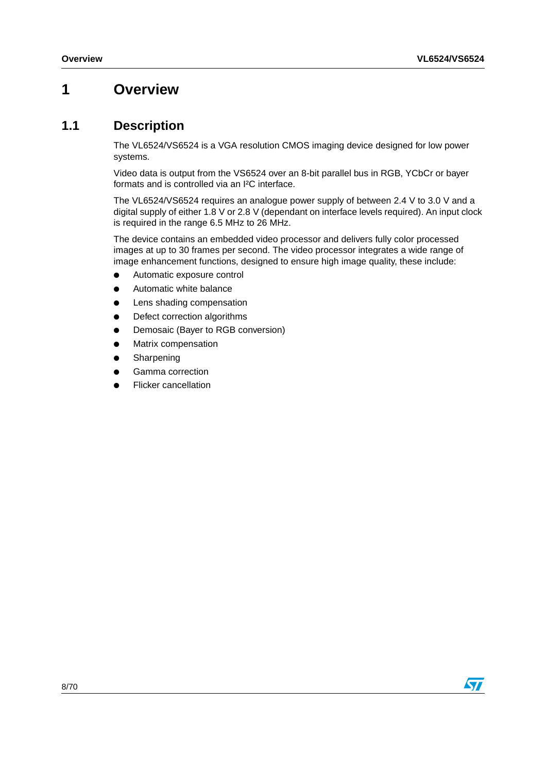## <span id="page-7-0"></span>**1 Overview**

## <span id="page-7-1"></span>**1.1 Description**

The VL6524/VS6524 is a VGA resolution CMOS imaging device designed for low power systems.

Video data is output from the VS6524 over an 8-bit parallel bus in RGB, YCbCr or bayer formats and is controlled via an I²C interface.

The VL6524/VS6524 requires an analogue power supply of between 2.4 V to 3.0 V and a digital supply of either 1.8 V or 2.8 V (dependant on interface levels required). An input clock is required in the range 6.5 MHz to 26 MHz.

The device contains an embedded video processor and delivers fully color processed images at up to 30 frames per second. The video processor integrates a wide range of image enhancement functions, designed to ensure high image quality, these include:

- Automatic exposure control
- Automatic white balance
- Lens shading compensation
- Defect correction algorithms
- Demosaic (Bayer to RGB conversion)
- **Matrix compensation**
- Sharpening
- Gamma correction
- **Flicker cancellation**

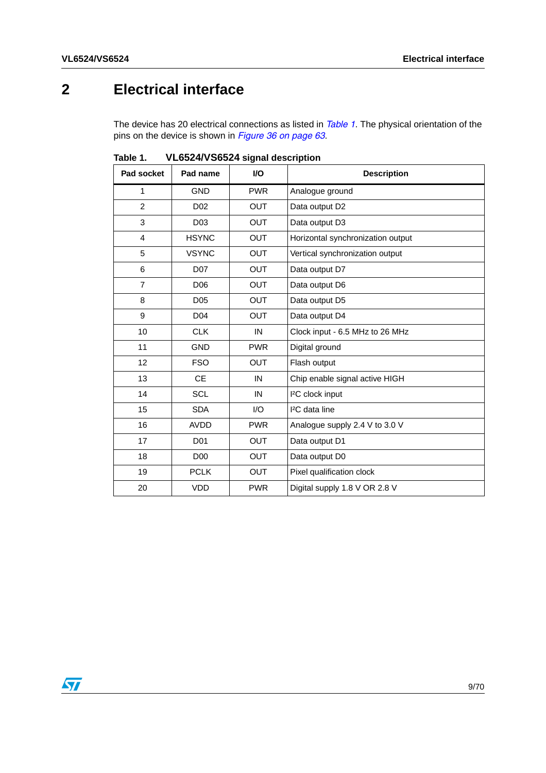# <span id="page-8-0"></span>**2 Electrical interface**

The device has 20 electrical connections as listed in *[Table 1](#page-8-1)*. The physical orientation of the pins on the device is shown in *[Figure 36 on page 63](#page-62-2)*.

| Pad socket     | Pad name        | <b>VO</b>  | <b>Description</b>                |
|----------------|-----------------|------------|-----------------------------------|
| 1              | <b>GND</b>      | <b>PWR</b> | Analogue ground                   |
| $\overline{2}$ | D <sub>02</sub> | <b>OUT</b> | Data output D2                    |
| 3              | D <sub>03</sub> | <b>OUT</b> | Data output D3                    |
| 4              | <b>HSYNC</b>    | <b>OUT</b> | Horizontal synchronization output |
| 5              | <b>VSYNC</b>    | <b>OUT</b> | Vertical synchronization output   |
| 6              | D07             | <b>OUT</b> | Data output D7                    |
| $\overline{7}$ | D <sub>06</sub> | <b>OUT</b> | Data output D6                    |
| 8              | D <sub>05</sub> | <b>OUT</b> | Data output D5                    |
| 9              | D <sub>04</sub> | <b>OUT</b> | Data output D4                    |
| 10             | <b>CLK</b>      | IN         | Clock input - 6.5 MHz to 26 MHz   |
| 11             | <b>GND</b>      | <b>PWR</b> | Digital ground                    |
| 12             | <b>FSO</b>      | <b>OUT</b> | Flash output                      |
| 13             | <b>CE</b>       | IN         | Chip enable signal active HIGH    |
| 14             | <b>SCL</b>      | IN         | <sup>2</sup> C clock input        |
| 15             | <b>SDA</b>      | I/O        | <sup>2</sup> C data line          |
| 16             | <b>AVDD</b>     | <b>PWR</b> | Analogue supply 2.4 V to 3.0 V    |
| 17             | D <sub>01</sub> | <b>OUT</b> | Data output D1                    |
| 18             | <b>D00</b>      | <b>OUT</b> | Data output D0                    |
| 19             | <b>PCLK</b>     | <b>OUT</b> | Pixel qualification clock         |
| 20             | <b>VDD</b>      | <b>PWR</b> | Digital supply 1.8 V OR 2.8 V     |

<span id="page-8-1"></span>Table 1. **Table 1. VL6524/VS6524 signal description**

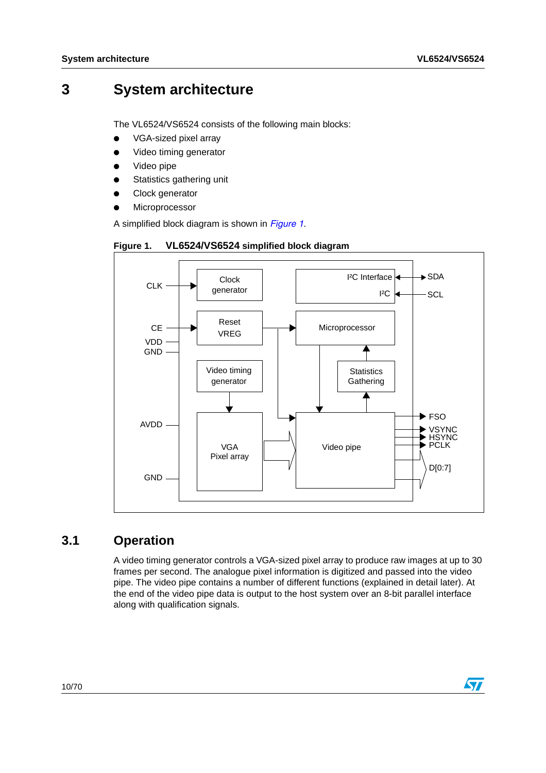## <span id="page-9-0"></span>**3 System architecture**

The VL6524/VS6524 consists of the following main blocks:

- VGA-sized pixel array
- Video timing generator
- Video pipe
- Statistics gathering unit
- Clock generator
- Microprocessor

A simplified block diagram is shown in *[Figure 1](#page-9-2)*.

<span id="page-9-2"></span>



## <span id="page-9-1"></span>**3.1 Operation**

A video timing generator controls a VGA-sized pixel array to produce raw images at up to 30 frames per second. The analogue pixel information is digitized and passed into the video pipe. The video pipe contains a number of different functions (explained in detail later). At the end of the video pipe data is output to the host system over an 8-bit parallel interface along with qualification signals.

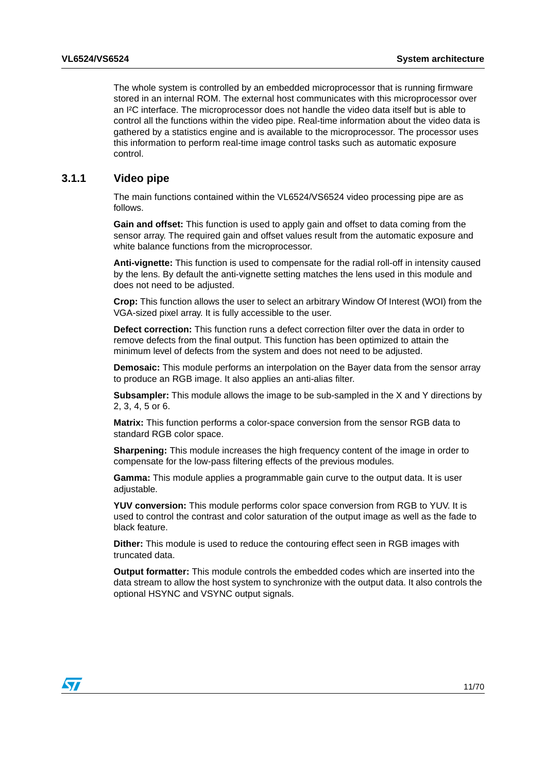The whole system is controlled by an embedded microprocessor that is running firmware stored in an internal ROM. The external host communicates with this microprocessor over an I²C interface. The microprocessor does not handle the video data itself but is able to control all the functions within the video pipe. Real-time information about the video data is gathered by a statistics engine and is available to the microprocessor. The processor uses this information to perform real-time image control tasks such as automatic exposure control.

### <span id="page-10-0"></span>**3.1.1 Video pipe**

The main functions contained within the VL6524/VS6524 video processing pipe are as follows.

**Gain and offset:** This function is used to apply gain and offset to data coming from the sensor array. The required gain and offset values result from the automatic exposure and white balance functions from the microprocessor.

**Anti-vignette:** This function is used to compensate for the radial roll-off in intensity caused by the lens. By default the anti-vignette setting matches the lens used in this module and does not need to be adjusted.

**Crop:** This function allows the user to select an arbitrary Window Of Interest (WOI) from the VGA-sized pixel array. It is fully accessible to the user.

**Defect correction:** This function runs a defect correction filter over the data in order to remove defects from the final output. This function has been optimized to attain the minimum level of defects from the system and does not need to be adjusted.

**Demosaic:** This module performs an interpolation on the Bayer data from the sensor array to produce an RGB image. It also applies an anti-alias filter.

**Subsampler:** This module allows the image to be sub-sampled in the X and Y directions by 2, 3, 4, 5 or 6.

**Matrix:** This function performs a color-space conversion from the sensor RGB data to standard RGB color space.

**Sharpening:** This module increases the high frequency content of the image in order to compensate for the low-pass filtering effects of the previous modules.

**Gamma:** This module applies a programmable gain curve to the output data. It is user adiustable.

**YUV conversion:** This module performs color space conversion from RGB to YUV. It is used to control the contrast and color saturation of the output image as well as the fade to black feature.

**Dither:** This module is used to reduce the contouring effect seen in RGB images with truncated data.

**Output formatter:** This module controls the embedded codes which are inserted into the data stream to allow the host system to synchronize with the output data. It also controls the optional HSYNC and VSYNC output signals.

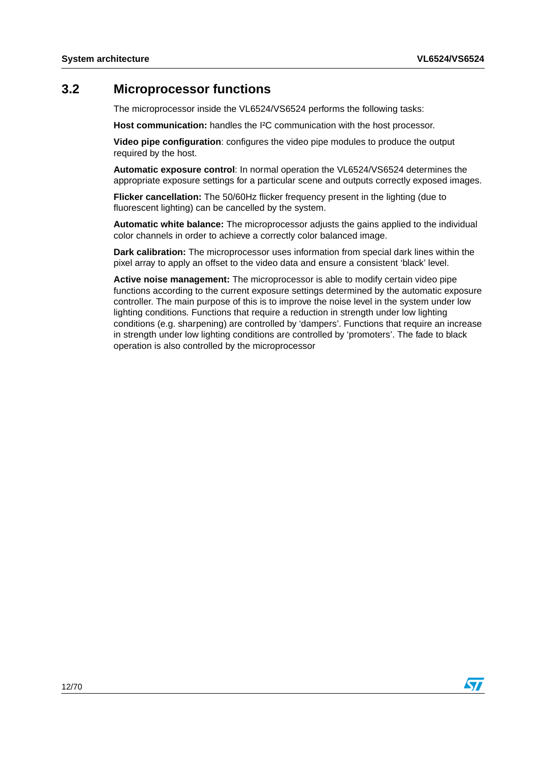## <span id="page-11-0"></span>**3.2 Microprocessor functions**

The microprocessor inside the VL6524/VS6524 performs the following tasks:

**Host communication:** handles the I²C communication with the host processor.

**Video pipe configuration**: configures the video pipe modules to produce the output required by the host.

**Automatic exposure control**: In normal operation the VL6524/VS6524 determines the appropriate exposure settings for a particular scene and outputs correctly exposed images.

**Flicker cancellation:** The 50/60Hz flicker frequency present in the lighting (due to fluorescent lighting) can be cancelled by the system.

**Automatic white balance:** The microprocessor adjusts the gains applied to the individual color channels in order to achieve a correctly color balanced image.

**Dark calibration:** The microprocessor uses information from special dark lines within the pixel array to apply an offset to the video data and ensure a consistent 'black' level.

**Active noise management:** The microprocessor is able to modify certain video pipe functions according to the current exposure settings determined by the automatic exposure controller. The main purpose of this is to improve the noise level in the system under low lighting conditions. Functions that require a reduction in strength under low lighting conditions (e.g. sharpening) are controlled by 'dampers'. Functions that require an increase in strength under low lighting conditions are controlled by 'promoters'. The fade to black operation is also controlled by the microprocessor

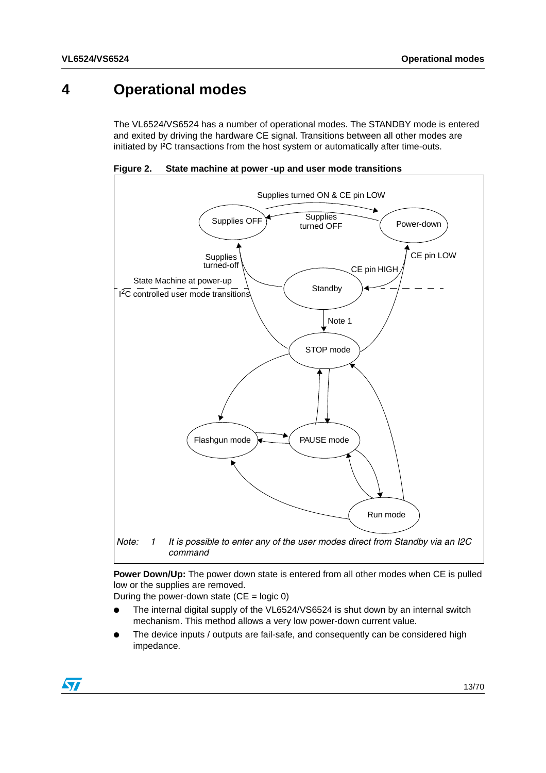## <span id="page-12-0"></span>**4 Operational modes**

The VL6524/VS6524 has a number of operational modes. The STANDBY mode is entered and exited by driving the hardware CE signal. Transitions between all other modes are initiated by I²C transactions from the host system or automatically after time-outs.

<span id="page-12-1"></span>**Figure 2. State machine at power -up and user mode transitions**



**Power Down/Up:** The power down state is entered from all other modes when CE is pulled low or the supplies are removed.

During the power-down state  $(CE = logic 0)$ 

- The internal digital supply of the VL6524/VS6524 is shut down by an internal switch mechanism. This method allows a very low power-down current value.
- The device inputs / outputs are fail-safe, and consequently can be considered high impedance.

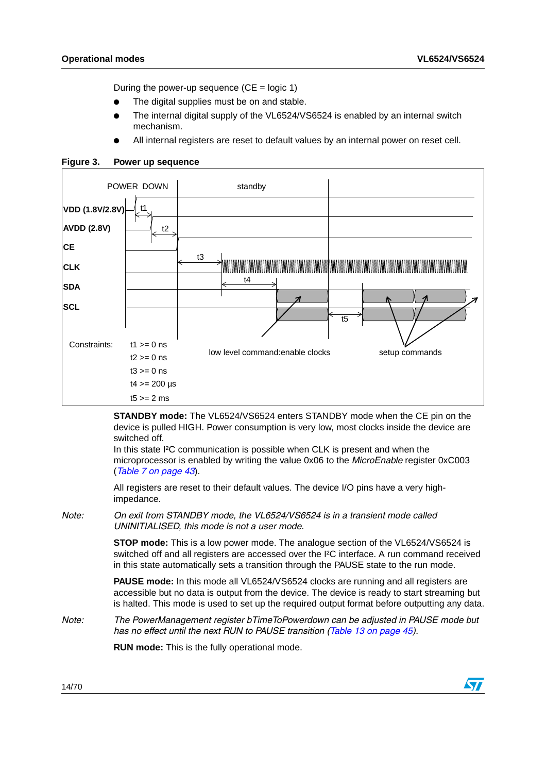During the power-up sequence  $(CE = logic 1)$ 

- The digital supplies must be on and stable.
- The internal digital supply of the VL6524/VS6524 is enabled by an internal switch mechanism.
- All internal registers are reset to default values by an internal power on reset cell.



### <span id="page-13-0"></span>**Figure 3. Power up sequence**

**STANDBY mode:** The VL6524/VS6524 enters STANDBY mode when the CE pin on the device is pulled HIGH. Power consumption is very low, most clocks inside the device are switched off.

In this state I²C communication is possible when CLK is present and when the microprocessor is enabled by writing the value 0x06 to the *MicroEnable* register 0xC003 (*[Table 7 on page 43](#page-42-3)*).

All registers are reset to their default values. The device I/O pins have a very highimpedance.

*Note: On exit from STANDBY mode, the VL6524/VS6524 is in a transient mode called UNINITIALISED, this mode is not a user mode.*

> **STOP mode:** This is a low power mode. The analogue section of the VL6524/VS6524 is switched off and all registers are accessed over the I²C interface. A run command received in this state automatically sets a transition through the PAUSE state to the run mode.

> **PAUSE mode:** In this mode all VL6524/VS6524 clocks are running and all registers are accessible but no data is output from the device. The device is ready to start streaming but is halted. This mode is used to set up the required output format before outputting any data.

### *Note: The PowerManagement register bTimeToPowerdown can be adjusted in PAUSE mode but has no effect until the next RUN to PAUSE transition [\(Table 13 on page 45\)](#page-44-4).*

**RUN mode:** This is the fully operational mode.

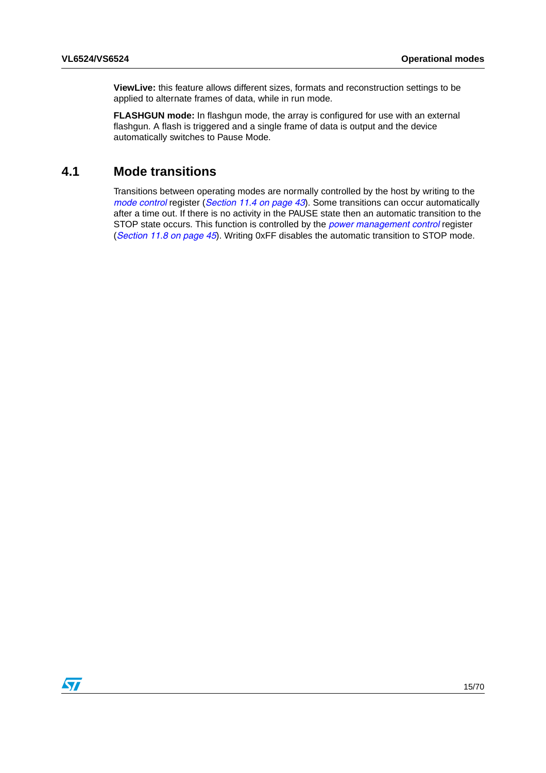**ViewLive:** this feature allows different sizes, formats and reconstruction settings to be applied to alternate frames of data, while in run mode.

**FLASHGUN mode:** In flashgun mode, the array is configured for use with an external flashgun. A flash is triggered and a single frame of data is output and the device automatically switches to Pause Mode.

### <span id="page-14-0"></span>**4.1 Mode transitions**

Transitions between operating modes are normally controlled by the host by writing to the *mode control* register (*[Section 11.4 on page 43](#page-42-2)*). Some transitions can occur automatically after a time out. If there is no activity in the PAUSE state then an automatic transition to the STOP state occurs. This function is controlled by the *power management control* register (*[Section 11.8 on page 45](#page-44-0)*). Writing 0xFF disables the automatic transition to STOP mode.

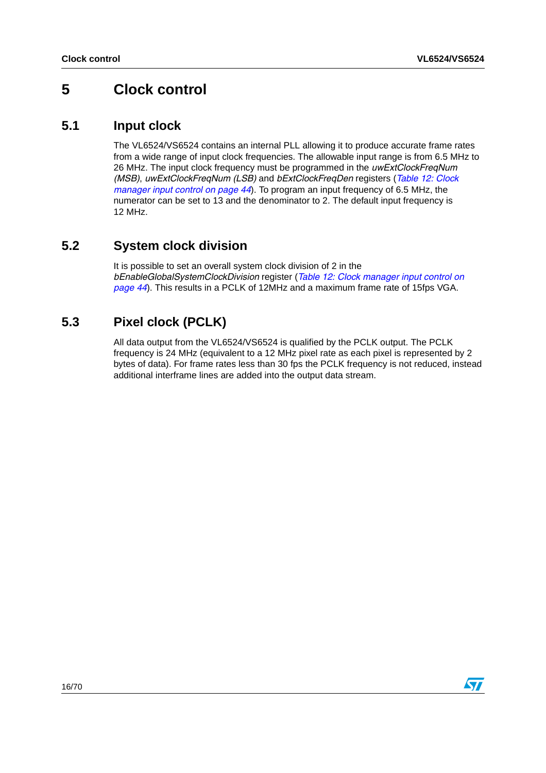## <span id="page-15-0"></span>**5 Clock control**

## <span id="page-15-1"></span>**5.1 Input clock**

The VL6524/VS6524 contains an internal PLL allowing it to produce accurate frame rates from a wide range of input clock frequencies. The allowable input range is from 6.5 MHz to 26 MHz. The input clock frequency must be programmed in the *uwExtClockFreqNum (MSB)*, *uwExtClockFreqNum (LSB)* and *bExtClockFreqDen* registers (*[Table 12: Clock](#page-43-5)  [manager input control on page 44](#page-43-5)*). To program an input frequency of 6.5 MHz, the numerator can be set to 13 and the denominator to 2. The default input frequency is 12 MHz.

## <span id="page-15-2"></span>**5.2 System clock division**

It is possible to set an overall system clock division of 2 in the *bEnableGlobalSystemClockDivision* register (*[Table 12: Clock manager input control on](#page-43-5)  [page 44](#page-43-5)*). This results in a PCLK of 12MHz and a maximum frame rate of 15fps VGA.

## <span id="page-15-3"></span>**5.3 Pixel clock (PCLK)**

All data output from the VL6524/VS6524 is qualified by the PCLK output. The PCLK frequency is 24 MHz (equivalent to a 12 MHz pixel rate as each pixel is represented by 2 bytes of data). For frame rates less than 30 fps the PCLK frequency is not reduced, instead additional interframe lines are added into the output data stream.

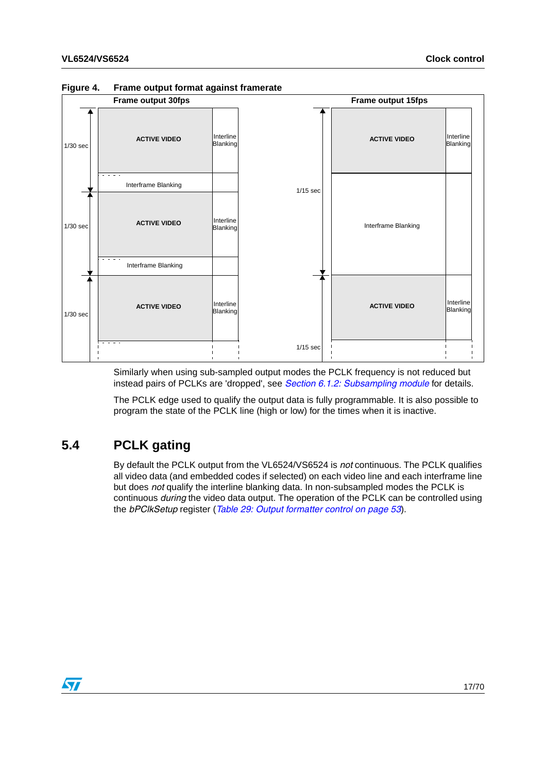

### <span id="page-16-1"></span>**Figure 4. Frame output format against framerate**

Similarly when using sub-sampled output modes the PCLK frequency is not reduced but instead pairs of PCLKs are 'dropped', see *[Section 6.1.2: Subsampling module](#page-19-0)* for details.

The PCLK edge used to qualify the output data is fully programmable. It is also possible to program the state of the PCLK line (high or low) for the times when it is inactive.

## <span id="page-16-0"></span>**5.4 PCLK gating**

By default the PCLK output from the VL6524/VS6524 is *not* continuous. The PCLK qualifies all video data (and embedded codes if selected) on each video line and each interframe line but does *not* qualify the interline blanking data. In non-subsampled modes the PCLK is continuous *during* the video data output. The operation of the PCLK can be controlled using the *bPClkSetup* register (*[Table 29: Output formatter control on page 53](#page-52-1)*).

 $\overline{\mathbf{S}}$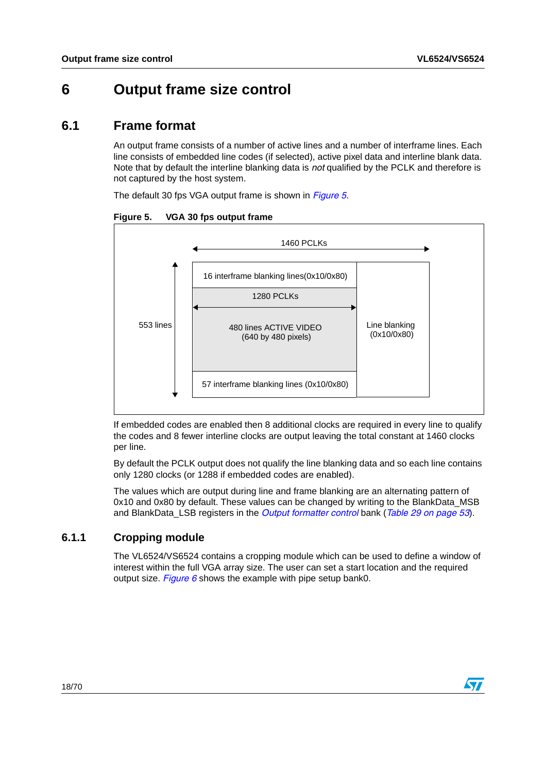## <span id="page-17-0"></span>**6 Output frame size control**

## <span id="page-17-1"></span>**6.1 Frame format**

An output frame consists of a number of active lines and a number of interframe lines. Each line consists of embedded line codes (if selected), active pixel data and interline blank data. Note that by default the interline blanking data is *not* qualified by the PCLK and therefore is not captured by the host system.

The default 30 fps VGA output frame is shown in *[Figure 5](#page-17-3)*.

<span id="page-17-3"></span>

| Figure 5. | VGA 30 fps output frame |  |
|-----------|-------------------------|--|
|-----------|-------------------------|--|



If embedded codes are enabled then 8 additional clocks are required in every line to qualify the codes and 8 fewer interline clocks are output leaving the total constant at 1460 clocks per line.

By default the PCLK output does not qualify the line blanking data and so each line contains only 1280 clocks (or 1288 if embedded codes are enabled).

The values which are output during line and frame blanking are an alternating pattern of 0x10 and 0x80 by default. These values can be changed by writing to the BlankData\_MSB and BlankData\_LSB registers in the *Output formatter control* bank (*[Table 29 on page 53](#page-52-1)*).

### <span id="page-17-2"></span>**6.1.1 Cropping module**

The VL6524/VS6524 contains a cropping module which can be used to define a window of interest within the full VGA array size. The user can set a start location and the required output size. *[Figure 6](#page-18-0)* shows the example with pipe setup bank0.

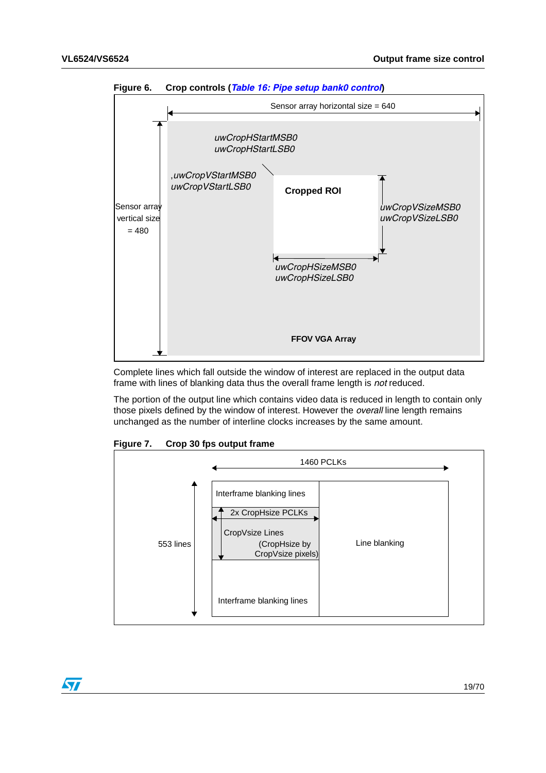

<span id="page-18-0"></span>**Figure 6. Crop controls (***[Table 16: Pipe setup bank0 control](#page-44-7)***)**

Complete lines which fall outside the window of interest are replaced in the output data frame with lines of blanking data thus the overall frame length is *not* reduced.

The portion of the output line which contains video data is reduced in length to contain only those pixels defined by the window of interest. However the *overall* line length remains unchanged as the number of interline clocks increases by the same amount.



<span id="page-18-1"></span>**Figure 7. Crop 30 fps output frame**

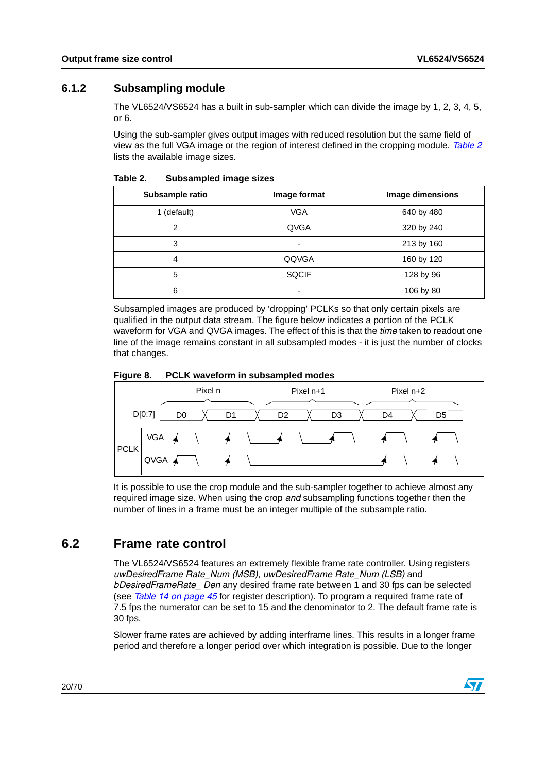### <span id="page-19-0"></span>**6.1.2 Subsampling module**

The VL6524/VS6524 has a built in sub-sampler which can divide the image by 1, 2, 3, 4, 5, or 6.

Using the sub-sampler gives output images with reduced resolution but the same field of view as the full VGA image or the region of interest defined in the cropping module. *[Table 2](#page-19-2)* lists the available image sizes.

| Subsample ratio | Image format             | Image dimensions |
|-----------------|--------------------------|------------------|
| 1 (default)     | <b>VGA</b>               | 640 by 480       |
| 2               | QVGA                     | 320 by 240       |
| 3               | $\overline{\phantom{0}}$ | 213 by 160       |
| 4               | QQVGA                    | 160 by 120       |
| 5               | <b>SQCIF</b>             | 128 by 96        |
| 6               | $\overline{\phantom{0}}$ | 106 by 80        |

<span id="page-19-2"></span>Table 2. **Subsampled image sizes** 

Subsampled images are produced by 'dropping' PCLKs so that only certain pixels are qualified in the output data stream. The figure below indicates a portion of the PCLK waveform for VGA and QVGA images. The effect of this is that the *time* taken to readout one line of the image remains constant in all subsampled modes - it is just the number of clocks that changes.

<span id="page-19-3"></span>



It is possible to use the crop module and the sub-sampler together to achieve almost any required image size. When using the crop *and* subsampling functions together then the number of lines in a frame must be an integer multiple of the subsample ratio.

## <span id="page-19-1"></span>**6.2 Frame rate control**

The VL6524/VS6524 features an extremely flexible frame rate controller. Using registers *uwDesiredFrame Rate\_Num (MSB)*, *uwDesiredFrame Rate\_Num (LSB)* and *bDesiredFrameRate\_ Den* any desired frame rate between 1 and 30 fps can be selected (see *[Table 14 on page 45](#page-44-5)* for register description). To program a required frame rate of 7.5 fps the numerator can be set to 15 and the denominator to 2. The default frame rate is 30 fps.

Slower frame rates are achieved by adding interframe lines. This results in a longer frame period and therefore a longer period over which integration is possible. Due to the longer

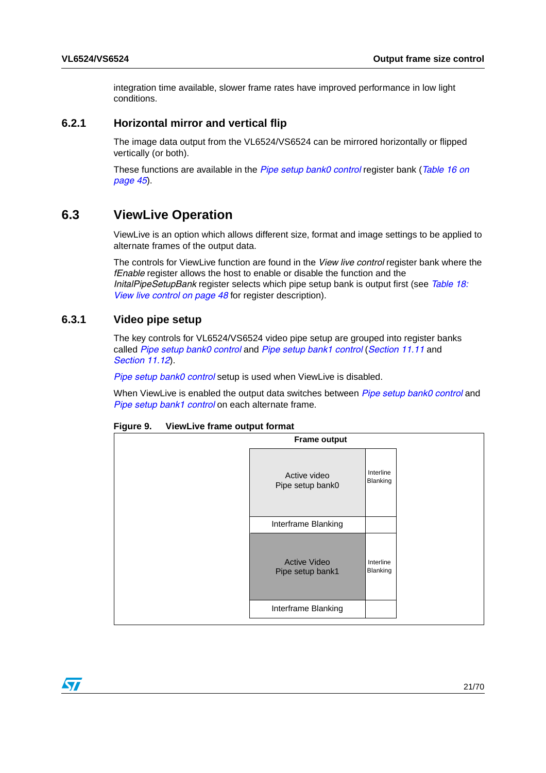integration time available, slower frame rates have improved performance in low light conditions.

### <span id="page-20-0"></span>**6.2.1 Horizontal mirror and vertical flip**

The image data output from the VL6524/VS6524 can be mirrored horizontally or flipped vertically (or both).

These functions are available in the *[Pipe setup bank0 control](#page-44-7)* register bank (*[Table 16 on](#page-44-7)  [page 45](#page-44-7)*).

### <span id="page-20-1"></span>**6.3 ViewLive Operation**

ViewLive is an option which allows different size, format and image settings to be applied to alternate frames of the output data.

The controls for ViewLive function are found in the *View live control* register bank where the *fEnable* register allows the host to enable or disable the function and the *InitalPipeSetupBank* register selects which pipe setup bank is output first (see *[Table 18:](#page-47-2)  [View live control on page 48](#page-47-2)* for register description).

### <span id="page-20-2"></span>**6.3.1 Video pipe setup**

The key controls for VL6524/VS6524 video pipe setup are grouped into register banks called *[Pipe setup bank0 control](#page-44-7)* and *[Pipe setup bank1 control](#page-46-1)* (*[Section 11.11](#page-44-3)* and *[Section 11.12](#page-46-0)*).

*[Pipe setup bank0 control](#page-44-7)* setup is used when ViewLive is disabled.

When ViewLive is enabled the output data switches between *[Pipe setup bank0 control](#page-44-7)* and *[Pipe setup bank1 control](#page-46-1)* on each alternate frame.

| viewerve manie oatpat format |                                         |                       |  |  |  |
|------------------------------|-----------------------------------------|-----------------------|--|--|--|
|                              | <b>Frame output</b>                     |                       |  |  |  |
|                              | Active video<br>Pipe setup bank0        | Interline<br>Blanking |  |  |  |
|                              | Interframe Blanking                     |                       |  |  |  |
|                              | <b>Active Video</b><br>Pipe setup bank1 | Interline<br>Blanking |  |  |  |
|                              | Interframe Blanking                     |                       |  |  |  |
|                              |                                         |                       |  |  |  |

<span id="page-20-3"></span>

| Figure 9. | ViewLive frame output format |
|-----------|------------------------------|
|-----------|------------------------------|

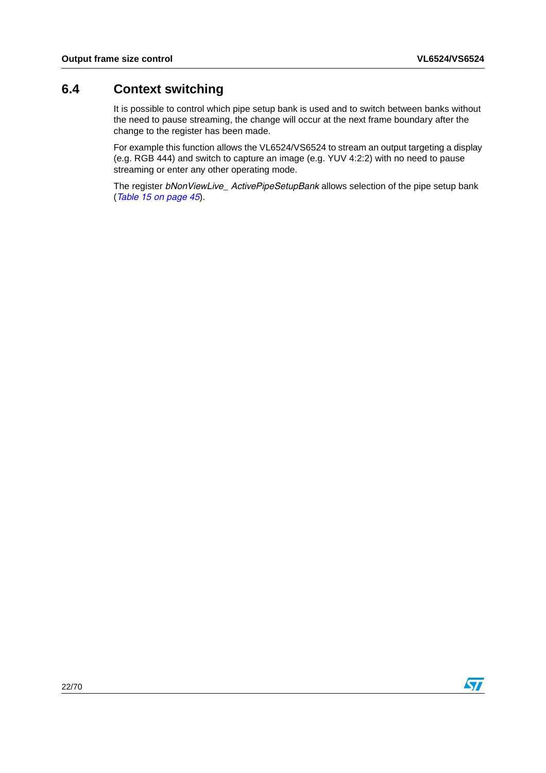## <span id="page-21-0"></span>**6.4 Context switching**

It is possible to control which pipe setup bank is used and to switch between banks without the need to pause streaming, the change will occur at the next frame boundary after the change to the register has been made.

For example this function allows the VL6524/VS6524 to stream an output targeting a display (e.g. RGB 444) and switch to capture an image (e.g. YUV 4:2:2) with no need to pause streaming or enter any other operating mode.

The register *bNonViewLive\_ ActivePipeSetupBank* allows selection of the pipe setup bank (*[Table 15 on page 45](#page-44-6)*).

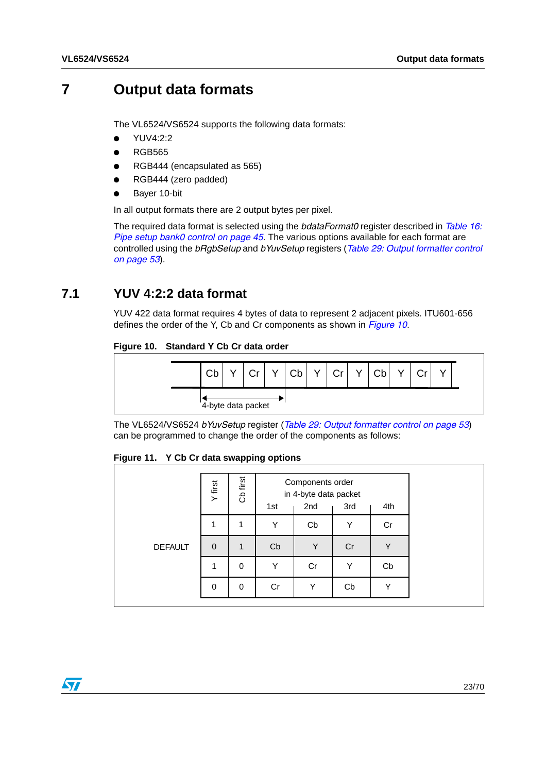## <span id="page-22-0"></span>**7 Output data formats**

The VL6524/VS6524 supports the following data formats:

- YUV4:2:2
- **RGB565**
- RGB444 (encapsulated as 565)
- RGB444 (zero padded)
- Bayer 10-bit

In all output formats there are 2 output bytes per pixel.

The required data format is selected using the *bdataFormat0* register described in *[Table 16:](#page-44-7)  [Pipe setup bank0 control on page 45](#page-44-7)*. The various options available for each format are controlled using the *bRgbSetup* and *bYuvSetup* registers (*[Table 29: Output formatter control](#page-52-1)  [on page 53](#page-52-1)*).

## <span id="page-22-1"></span>**7.1 YUV 4:2:2 data format**

YUV 422 data format requires 4 bytes of data to represent 2 adjacent pixels. ITU601-656 defines the order of the Y, Cb and Cr components as shown in *[Figure 10](#page-22-2)*.

### <span id="page-22-2"></span>**Figure 10. Standard Y Cb Cr data order**



The VL6524/VS6524 *bYuvSetup* register (*[Table 29: Output formatter control on page 53](#page-52-1)*) can be programmed to change the order of the components as follows:

<span id="page-22-3"></span>

| Figure 11. |  |  |  |  | Y Cb Cr data swapping options |  |
|------------|--|--|--|--|-------------------------------|--|
|------------|--|--|--|--|-------------------------------|--|

|                | Y first     | Cb first     | 1st | Components order<br>in 4-byte data packet<br>2nd | 3rd | 4th |
|----------------|-------------|--------------|-----|--------------------------------------------------|-----|-----|
|                |             | 1            | Υ   | Cb                                               | Y   | Cr  |
| <b>DEFAULT</b> | $\mathbf 0$ | $\mathbf{1}$ | Cb  | Y                                                | Cr  | Υ   |
|                | 1           | 0            | Υ   | Cr                                               | Υ   | Cb  |
|                | $\Omega$    | 0            | Cr  | Υ                                                | Cb  | Y   |

 $\sqrt{2}$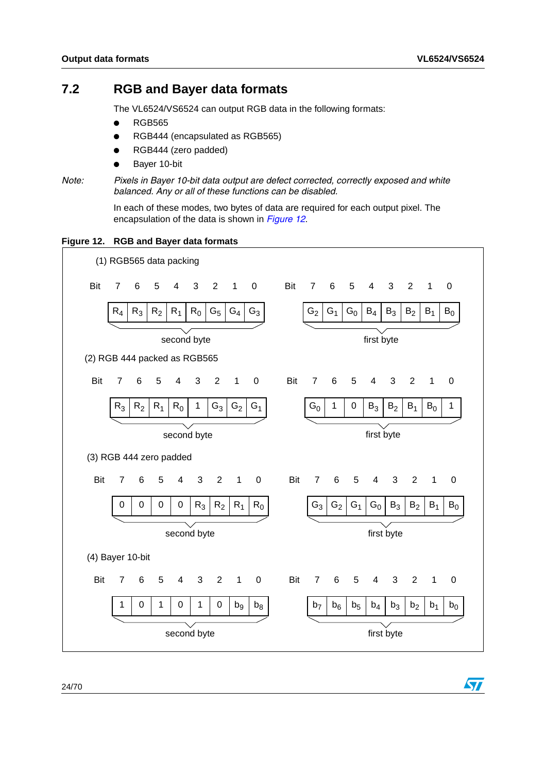$\bm{\nabla}$ 

## <span id="page-23-0"></span>**7.2 RGB and Bayer data formats**

The VL6524/VS6524 can output RGB data in the following formats:

- **RGB565**
- RGB444 (encapsulated as RGB565)
- RGB444 (zero padded)
- Bayer 10-bit

```
Note: Pixels in Bayer 10-bit data output are defect corrected, correctly exposed and white 
balanced. Any or all of these functions can be disabled.
```
In each of these modes, two bytes of data are required for each output pixel. The encapsulation of the data is shown in *[Figure 12](#page-23-1)*.

<span id="page-23-1"></span>

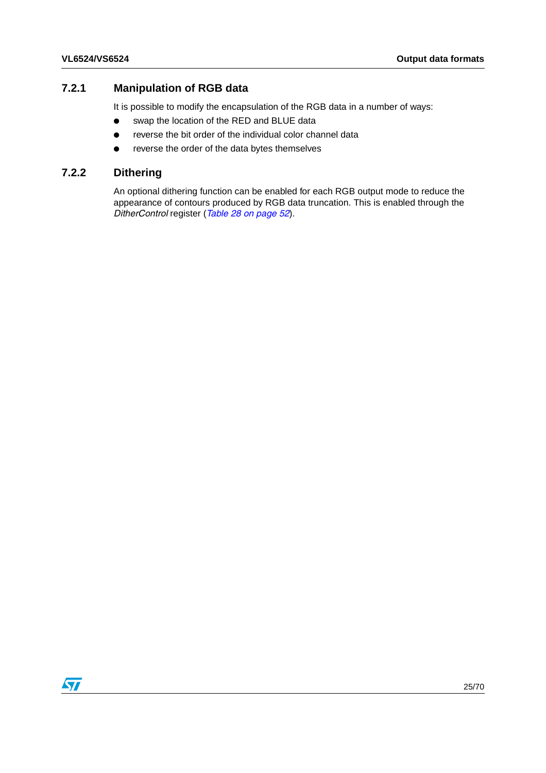### <span id="page-24-0"></span>**7.2.1 Manipulation of RGB data**

It is possible to modify the encapsulation of the RGB data in a number of ways:

- swap the location of the RED and BLUE data
- reverse the bit order of the individual color channel data
- reverse the order of the data bytes themselves

### <span id="page-24-1"></span>**7.2.2 Dithering**

An optional dithering function can be enabled for each RGB output mode to reduce the appearance of contours produced by RGB data truncation. This is enabled through the *DitherControl* register (*[Table 28 on page 52](#page-51-3)*).

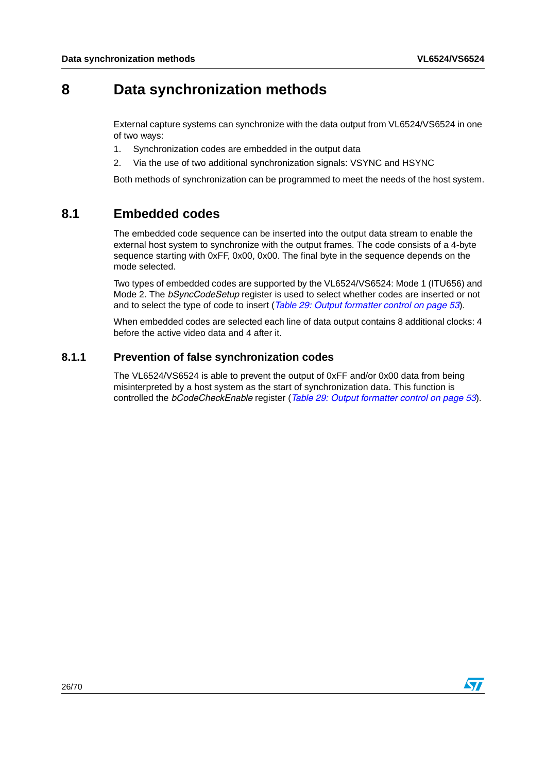## <span id="page-25-0"></span>**8 Data synchronization methods**

External capture systems can synchronize with the data output from VL6524/VS6524 in one of two ways:

- 1. Synchronization codes are embedded in the output data
- 2. Via the use of two additional synchronization signals: VSYNC and HSYNC

Both methods of synchronization can be programmed to meet the needs of the host system.

## <span id="page-25-1"></span>**8.1 Embedded codes**

The embedded code sequence can be inserted into the output data stream to enable the external host system to synchronize with the output frames. The code consists of a 4-byte sequence starting with 0xFF, 0x00, 0x00. The final byte in the sequence depends on the mode selected.

Two types of embedded codes are supported by the VL6524/VS6524: Mode 1 (ITU656) and Mode 2. The *bSyncCodeSetup* register is used to select whether codes are inserted or not and to select the type of code to insert (*[Table 29: Output formatter control on page 53](#page-52-1)*).

When embedded codes are selected each line of data output contains 8 additional clocks: 4 before the active video data and 4 after it.

### <span id="page-25-2"></span>**8.1.1 Prevention of false synchronization codes**

The VL6524/VS6524 is able to prevent the output of 0xFF and/or 0x00 data from being misinterpreted by a host system as the start of synchronization data. This function is controlled the *bCodeCheckEnable* register (*[Table 29: Output formatter control on page 53](#page-52-1)*).

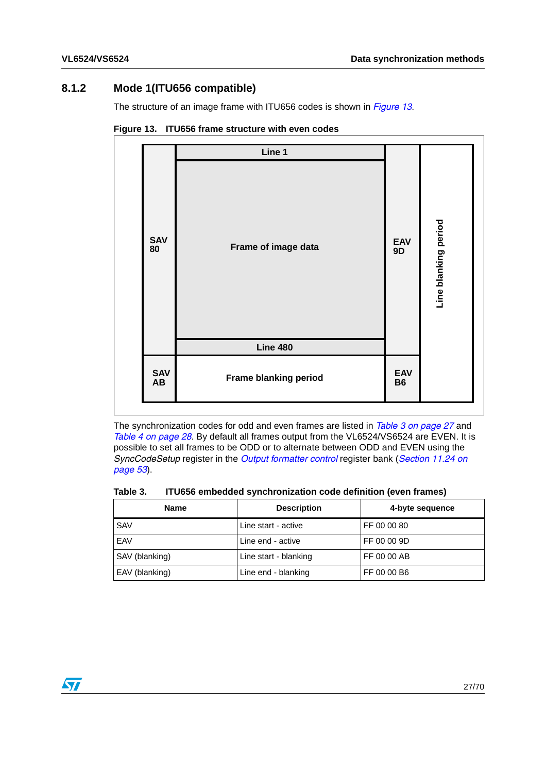### <span id="page-26-0"></span>**8.1.2 Mode 1(ITU656 compatible)**

The structure of an image frame with ITU656 codes is shown in *[Figure 13](#page-26-2)*.

|                               | Line 1                |                         |                      |
|-------------------------------|-----------------------|-------------------------|----------------------|
| SAV<br>80                     | Frame of image data   | <b>EAV</b><br>9D        | Line blanking period |
|                               | <b>Line 480</b>       |                         |                      |
| <b>SAV</b><br>$\overline{AB}$ | Frame blanking period | <b>EAV</b><br><b>B6</b> |                      |

<span id="page-26-2"></span>**Figure 13. ITU656 frame structure with even codes**

The synchronization codes for odd and even frames are listed in *[Table 3 on page 27](#page-26-1)* and *[Table 4 on page 28](#page-27-1)*. By default all frames output from the VL6524/VS6524 are EVEN. It is possible to set all frames to be ODD or to alternate between ODD and EVEN using the *SyncCodeSetup* register in the *[Output formatter control](#page-52-1)* register bank (*[Section 11.24 on](#page-52-0)  [page 53](#page-52-0)*).

<span id="page-26-1"></span>Table 3. **ITU656 embedded synchronization code definition (even frames)** 

| <b>Name</b>    | <b>Description</b>    | 4-byte sequence |
|----------------|-----------------------|-----------------|
| <b>SAV</b>     | Line start - active   | FF 00 00 80     |
| EAV            | Line end - active     | FF 00 00 9D     |
| SAV (blanking) | Line start - blanking | FF 00 00 AB     |
| EAV (blanking) | Line end - blanking   | FF 00 00 B6     |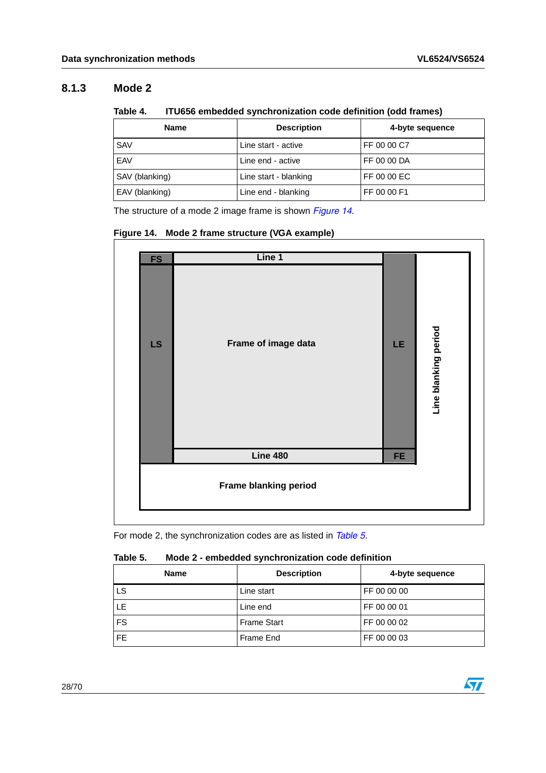### <span id="page-27-0"></span>**8.1.3 Mode 2**

<span id="page-27-1"></span>

| ITU656 embedded synchronization code definition (odd frames)<br>Table 4. |  |
|--------------------------------------------------------------------------|--|
|--------------------------------------------------------------------------|--|

| <b>Name</b>    | <b>Description</b>    | 4-byte sequence |
|----------------|-----------------------|-----------------|
| <b>SAV</b>     | Line start - active   | FF 00 00 C7     |
| EAV            | Line end - active     | FF 00 00 DA     |
| SAV (blanking) | Line start - blanking | FF 00 00 EC     |
| EAV (blanking) | Line end - blanking   | FF 00 00 F1     |

The structure of a mode 2 image frame is shown *[Figure 14](#page-27-3)*.

<span id="page-27-3"></span>**Figure 14. Mode 2 frame structure (VGA example)**



For mode 2, the synchronization codes are as listed in *[Table 5](#page-27-2)*.

#### <span id="page-27-2"></span>Table 5. **Table 5. Mode 2 - embedded synchronization code definition**

| <b>Name</b> | <b>Description</b> | 4-byte sequence |
|-------------|--------------------|-----------------|
| LS          | Line start         | FF 00 00 00     |
| LE          | Line end           | FF 00 00 01     |
| <b>FS</b>   | <b>Frame Start</b> | FF 00 00 02     |
| FE.         | Frame End          | FF 00 00 03     |

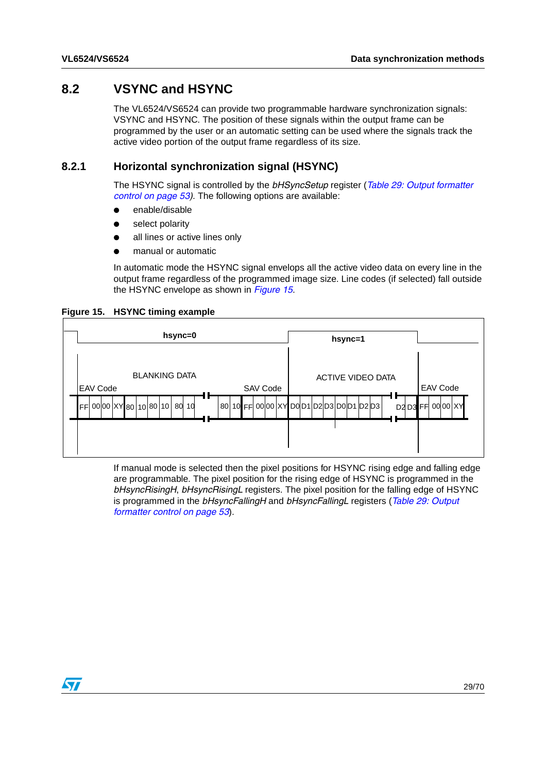## <span id="page-28-0"></span>**8.2 VSYNC and HSYNC**

The VL6524/VS6524 can provide two programmable hardware synchronization signals: VSYNC and HSYNC. The position of these signals within the output frame can be programmed by the user or an automatic setting can be used where the signals track the active video portion of the output frame regardless of its size.

### <span id="page-28-1"></span>**8.2.1 Horizontal synchronization signal (HSYNC)**

The HSYNC signal is controlled by the *bHSyncSetup* register (*[Table 29: Output formatter](#page-52-1)  [control on page 53\)](#page-52-1)*. The following options are available:

- enable/disable
- select polarity
- all lines or active lines only
- manual or automatic

In automatic mode the HSYNC signal envelops all the active video data on every line in the output frame regardless of the programmed image size. Line codes (if selected) fall outside the HSYNC envelope as shown in *[Figure 15](#page-28-2)*.

<span id="page-28-2"></span>



If manual mode is selected then the pixel positions for HSYNC rising edge and falling edge are programmable. The pixel position for the rising edge of HSYNC is programmed in the *bHsyncRisingH*, *bHsyncRisingL* registers. The pixel position for the falling edge of HSYNC is programmed in the *bHsyncFallingH* and *bHsyncFallingL* registers (*[Table 29: Output](#page-52-1)  [formatter control on page 53](#page-52-1)*).

 $\sqrt{2}$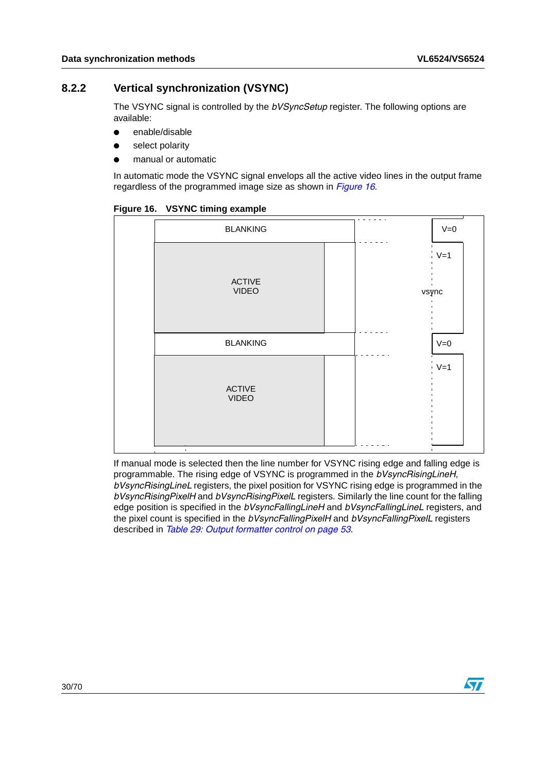### <span id="page-29-0"></span>**8.2.2 Vertical synchronization (VSYNC)**

The VSYNC signal is controlled by the *bVSyncSetup* register. The following options are available:

- enable/disable
- select polarity
- manual or automatic

In automatic mode the VSYNC signal envelops all the active video lines in the output frame regardless of the programmed image size as shown in *[Figure 16](#page-29-1)*.

| <b>BLANKING</b>                                 | $\sim$ $\sim$<br>$V=0$                                                                                                               |
|-------------------------------------------------|--------------------------------------------------------------------------------------------------------------------------------------|
| <b>ACTIVE</b><br><b>VIDEO</b>                   | $\blacksquare$<br>$V=1$<br>п<br>$\blacksquare$<br>$\blacksquare$<br>$\blacksquare$<br>$\blacksquare$<br>vsync<br>п<br>$\blacksquare$ |
| <b>BLANKING</b>                                 | $V=0$                                                                                                                                |
| <b>ACTIVE</b><br><b>VIDEO</b><br>$\blacksquare$ | $\blacksquare$<br>$\blacksquare$<br>$V=1$<br>$\blacksquare$<br>п.<br>$\blacksquare$                                                  |

<span id="page-29-1"></span>**Figure 16. VSYNC timing example** 

If manual mode is selected then the line number for VSYNC rising edge and falling edge is programmable. The rising edge of VSYNC is programmed in the *bVsyncRisingLineH*, *bVsyncRisingLineL* registers, the pixel position for VSYNC rising edge is programmed in the *bVsyncRisingPixelH* and *bVsyncRisingPixelL* registers. Similarly the line count for the falling edge position is specified in the *bVsyncFallingLineH* and *bVsyncFallingLineL* registers, and the pixel count is specified in the *bVsyncFallingPixelH* and *bVsyncFallingPixelL* registers described in *[Table 29: Output formatter control on page 53](#page-52-1)*.

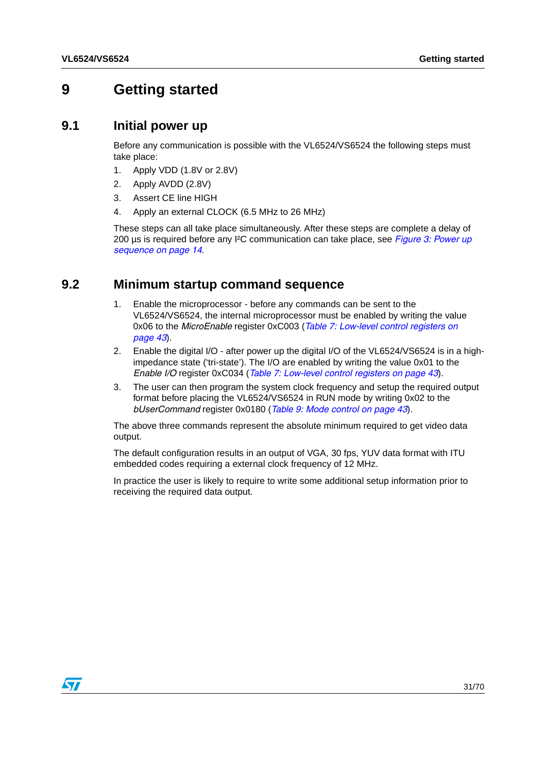## <span id="page-30-0"></span>**9 Getting started**

### <span id="page-30-1"></span>**9.1 Initial power up**

Before any communication is possible with the VL6524/VS6524 the following steps must take place:

- 1. Apply VDD (1.8V or 2.8V)
- 2. Apply AVDD (2.8V)
- 3. Assert CE line HIGH
- 4. Apply an external CLOCK (6.5 MHz to 26 MHz)

These steps can all take place simultaneously. After these steps are complete a delay of 200 µs is required before any I²C communication can take place, see *[Figure 3: Power up](#page-13-0)  [sequence on page 14](#page-13-0)*.

### <span id="page-30-2"></span>**9.2 Minimum startup command sequence**

- 1. Enable the microprocessor before any commands can be sent to the VL6524/VS6524, the internal microprocessor must be enabled by writing the value 0x06 to the *MicroEnable* register 0xC003 (*[Table 7: Low-level control registers on](#page-42-3)  [page 43](#page-42-3)*).
- 2. Enable the digital I/O after power up the digital I/O of the VL6524/VS6524 is in a highimpedance state ('tri-state'). The I/O are enabled by writing the value 0x01 to the *Enable I/O* register 0xC034 (*[Table 7: Low-level control registers on page 43](#page-42-3)*).
- 3. The user can then program the system clock frequency and setup the required output format before placing the VL6524/VS6524 in RUN mode by writing 0x02 to the *bUserCommand* register 0x0180 (*[Table 9: Mode control on page 43](#page-42-5)*).

The above three commands represent the absolute minimum required to get video data output.

The default configuration results in an output of VGA, 30 fps, YUV data format with ITU embedded codes requiring a external clock frequency of 12 MHz.

In practice the user is likely to require to write some additional setup information prior to receiving the required data output.

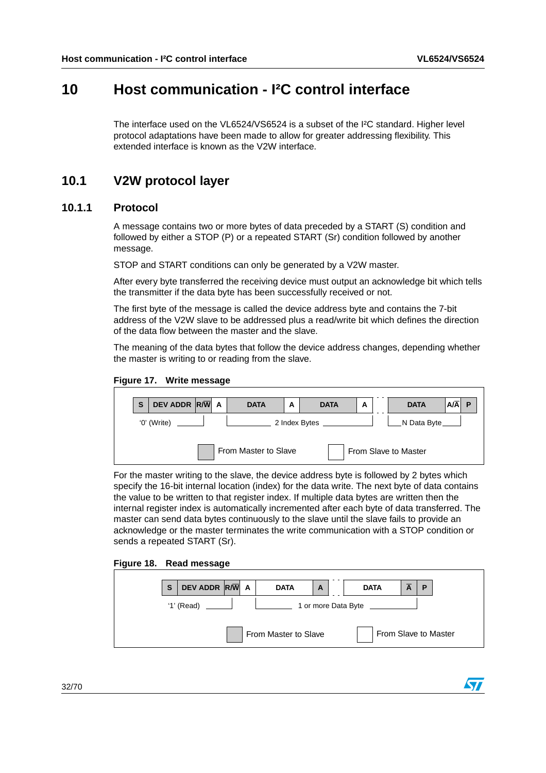## <span id="page-31-0"></span>**10 Host communication - I²C control interface**

The interface used on the VL6524/VS6524 is a subset of the I²C standard. Higher level protocol adaptations have been made to allow for greater addressing flexibility. This extended interface is known as the V2W interface.

## <span id="page-31-1"></span>**10.1 V2W protocol layer**

### <span id="page-31-2"></span>**10.1.1 Protocol**

A message contains two or more bytes of data preceded by a START (S) condition and followed by either a STOP (P) or a repeated START (Sr) condition followed by another message.

STOP and START conditions can only be generated by a V2W master.

After every byte transferred the receiving device must output an acknowledge bit which tells the transmitter if the data byte has been successfully received or not.

The first byte of the message is called the device address byte and contains the 7-bit address of the V2W slave to be addressed plus a read/write bit which defines the direction of the data flow between the master and the slave.

The meaning of the data bytes that follow the device address changes, depending whether the master is writing to or reading from the slave.

<span id="page-31-3"></span>**Figure 17. Write message**

| S                                                        | DEV ADDR R/W A |  |  | <b>DATA</b> | A | <b>DATA</b> | A |  | <b>DATA</b> | $A/\overline{A}$ |  |
|----------------------------------------------------------|----------------|--|--|-------------|---|-------------|---|--|-------------|------------------|--|
| 2 Index Bytes _______<br>'0' (Write)<br>N Data Byte ____ |                |  |  |             |   |             |   |  |             |                  |  |
| From Master to Slave<br>From Slave to Master             |                |  |  |             |   |             |   |  |             |                  |  |

For the master writing to the slave, the device address byte is followed by 2 bytes which specify the 16-bit internal location (index) for the data write. The next byte of data contains the value to be written to that register index. If multiple data bytes are written then the internal register index is automatically incremented after each byte of data transferred. The master can send data bytes continuously to the slave until the slave fails to provide an acknowledge or the master terminates the write communication with a STOP condition or sends a repeated START (Sr).

<span id="page-31-4"></span>

| Figure 18. |  | <b>Read message</b> |
|------------|--|---------------------|
|------------|--|---------------------|

| S | DEV ADDR R/W A |  | <b>DATA</b>          | A | <b>DATA</b>          | A | P |
|---|----------------|--|----------------------|---|----------------------|---|---|
|   | $'1'$ (Read)   |  |                      |   | 1 or more Data Byte  |   |   |
|   |                |  | From Master to Slave |   | From Slave to Master |   |   |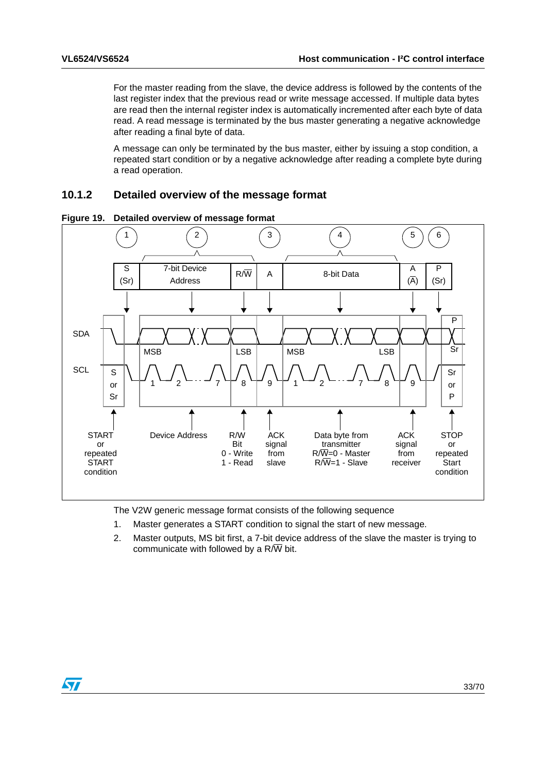For the master reading from the slave, the device address is followed by the contents of the last register index that the previous read or write message accessed. If multiple data bytes are read then the internal register index is automatically incremented after each byte of data read. A read message is terminated by the bus master generating a negative acknowledge after reading a final byte of data.

A message can only be terminated by the bus master, either by issuing a stop condition, a repeated start condition or by a negative acknowledge after reading a complete byte during a read operation.

### <span id="page-32-0"></span>**10.1.2 Detailed overview of the message format**



<span id="page-32-1"></span>**Figure 19. Detailed overview of message format**

The V2W generic message format consists of the following sequence

- 1. Master generates a START condition to signal the start of new message.
- 2. Master outputs, MS bit first, a 7-bit device address of the slave the master is trying to communicate with followed by a  $R/\overline{W}$  bit.

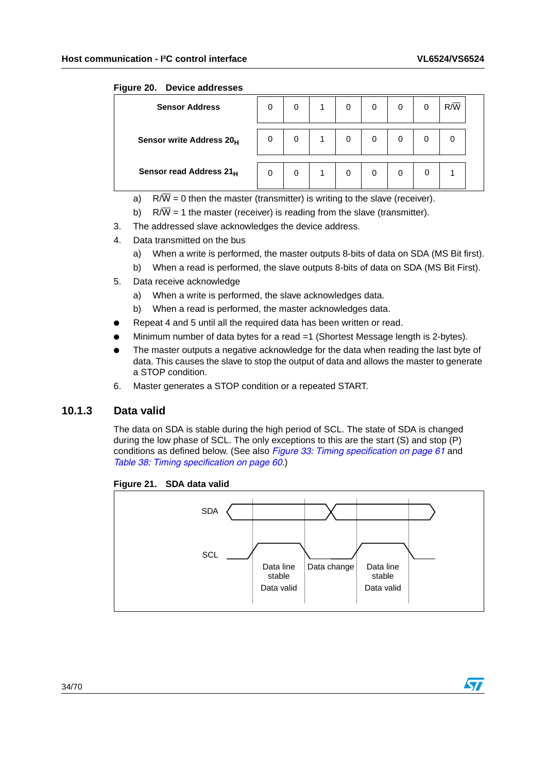### <span id="page-33-1"></span>**Figure 20. Device addresses**

| <b>Sensor Address</b>                | 0 | 0 | 0 | 0 | 0 | R/W |  |
|--------------------------------------|---|---|---|---|---|-----|--|
| Sensor write Address 20 <sub>H</sub> | 0 | 0 | 0 | 0 | 0 |     |  |
| Sensor read Address 21H              | 0 | 0 | 0 |   | 0 |     |  |

- a)  $R/\overline{W} = 0$  then the master (transmitter) is writing to the slave (receiver).
- b)  $R/\overline{W} = 1$  the master (receiver) is reading from the slave (transmitter).
- 3. The addressed slave acknowledges the device address.
- 4. Data transmitted on the bus
	- a) When a write is performed, the master outputs 8-bits of data on SDA (MS Bit first).
	- b) When a read is performed, the slave outputs 8-bits of data on SDA (MS Bit First).
- 5. Data receive acknowledge
	- a) When a write is performed, the slave acknowledges data.
	- b) When a read is performed, the master acknowledges data.
- Repeat 4 and 5 until all the required data has been written or read.
- Minimum number of data bytes for a read  $=1$  (Shortest Message length is 2-bytes).
- The master outputs a negative acknowledge for the data when reading the last byte of data. This causes the slave to stop the output of data and allows the master to generate a STOP condition.
- 6. Master generates a STOP condition or a repeated START.

### <span id="page-33-0"></span>**10.1.3 Data valid**

The data on SDA is stable during the high period of SCL. The state of SDA is changed during the low phase of SCL. The only exceptions to this are the start (S) and stop (P) conditions as defined below. (See also *[Figure 33: Timing specification on page 61](#page-60-0)* and *[Table 38: Timing specification on page 60](#page-59-0)*.)

<span id="page-33-2"></span>**Figure 21. SDA data valid**



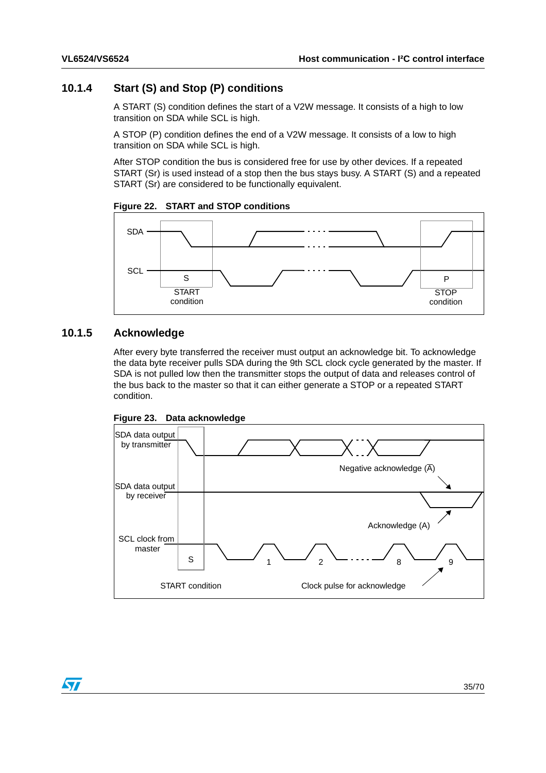### <span id="page-34-0"></span>**10.1.4 Start (S) and Stop (P) conditions**

A START (S) condition defines the start of a V2W message. It consists of a high to low transition on SDA while SCL is high.

A STOP (P) condition defines the end of a V2W message. It consists of a low to high transition on SDA while SCL is high.

After STOP condition the bus is considered free for use by other devices. If a repeated START (Sr) is used instead of a stop then the bus stays busy. A START (S) and a repeated START (Sr) are considered to be functionally equivalent.

<span id="page-34-2"></span>



### <span id="page-34-1"></span>**10.1.5 Acknowledge**

After every byte transferred the receiver must output an acknowledge bit. To acknowledge the data byte receiver pulls SDA during the 9th SCL clock cycle generated by the master. If SDA is not pulled low then the transmitter stops the output of data and releases control of the bus back to the master so that it can either generate a STOP or a repeated START condition.

<span id="page-34-3"></span>



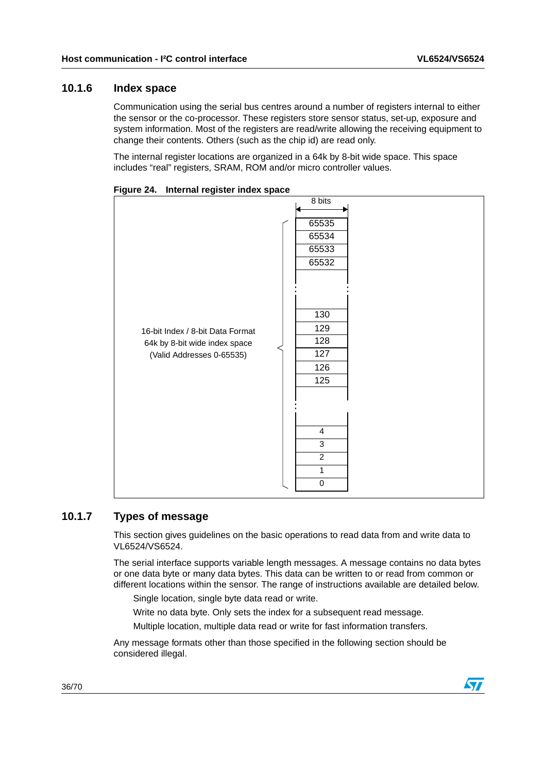### <span id="page-35-0"></span>**10.1.6 Index space**

Communication using the serial bus centres around a number of registers internal to either the sensor or the co-processor. These registers store sensor status, set-up, exposure and system information. Most of the registers are read/write allowing the receiving equipment to change their contents. Others (such as the chip id) are read only.

The internal register locations are organized in a 64k by 8-bit wide space. This space includes "real" registers, SRAM, ROM and/or micro controller values.

| - <u>.</u> .                     |                |
|----------------------------------|----------------|
|                                  | 8 bits         |
|                                  |                |
|                                  | 65535          |
|                                  | 65534          |
|                                  | 65533          |
|                                  | 65532          |
|                                  |                |
|                                  |                |
|                                  |                |
|                                  | 130            |
|                                  | 129            |
| 16-bit Index / 8-bit Data Format | 128            |
| 64k by 8-bit wide index space    | 127            |
| (Valid Addresses 0-65535)        |                |
|                                  | 126            |
|                                  | 125            |
|                                  |                |
|                                  |                |
|                                  |                |
|                                  | $\overline{4}$ |
|                                  | $\overline{3}$ |
|                                  | $\overline{c}$ |
|                                  | 1              |
|                                  | $\mathbf 0$    |
|                                  |                |

<span id="page-35-2"></span>**Figure 24. Internal register index space**

### <span id="page-35-1"></span>**10.1.7 Types of message**

This section gives guidelines on the basic operations to read data from and write data to VL6524/VS6524.

The serial interface supports variable length messages. A message contains no data bytes or one data byte or many data bytes. This data can be written to or read from common or different locations within the sensor. The range of instructions available are detailed below.

Single location, single byte data read or write.

Write no data byte. Only sets the index for a subsequent read message.

Multiple location, multiple data read or write for fast information transfers.

Any message formats other than those specified in the following section should be considered illegal.

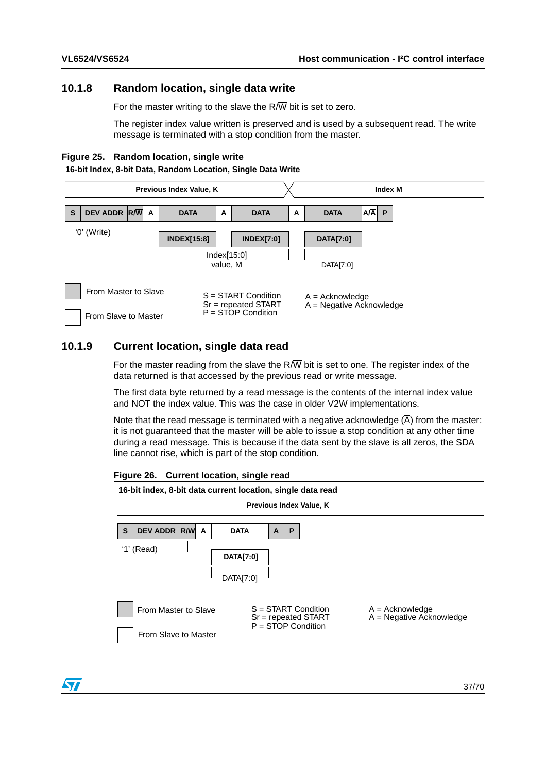### <span id="page-36-0"></span>**10.1.8 Random location, single data write**

For the master writing to the slave the  $R/\overline{W}$  bit is set to zero.

The register index value written is preserved and is used by a subsequent read. The write message is terminated with a stop condition from the master.

<span id="page-36-2"></span>



### <span id="page-36-1"></span>**10.1.9 Current location, single data read**

For the master reading from the slave the R $\overline{W}$  bit is set to one. The register index of the data returned is that accessed by the previous read or write message.

The first data byte returned by a read message is the contents of the internal index value and NOT the index value. This was the case in older V2W implementations.

Note that the read message is terminated with a negative acknowledge  $(\overline{A})$  from the master: it is not guaranteed that the master will be able to issue a stop condition at any other time during a read message. This is because if the data sent by the slave is all zeros, the SDA line cannot rise, which is part of the stop condition.

<span id="page-36-3"></span>

| Figure 26. Current location, single read |  |  |  |  |
|------------------------------------------|--|--|--|--|
|------------------------------------------|--|--|--|--|



57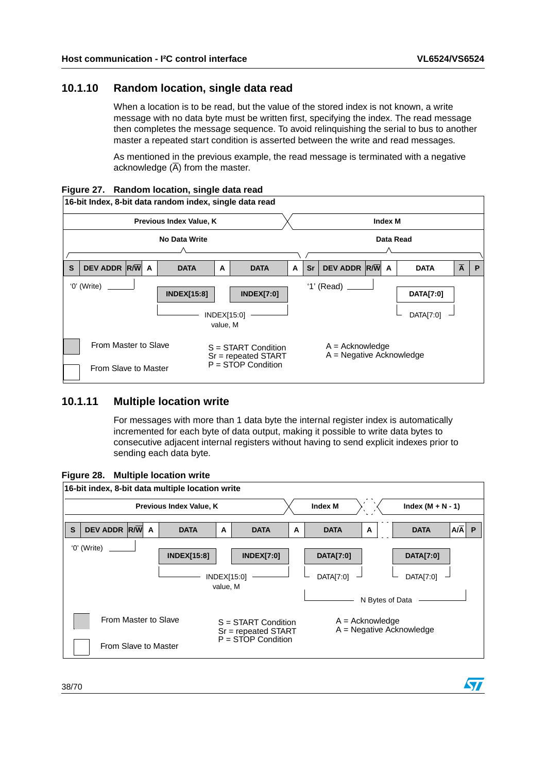### <span id="page-37-0"></span>**10.1.10 Random location, single data read**

When a location is to be read, but the value of the stored index is not known, a write message with no data byte must be written first, specifying the index. The read message then completes the message sequence. To avoid relinquishing the serial to bus to another master a repeated start condition is asserted between the write and read messages.

As mentioned in the previous example, the read message is terminated with a negative acknowledge  $(\overline{A})$  from the master.

<span id="page-37-2"></span>



### <span id="page-37-1"></span>**10.1.11 Multiple location write**

For messages with more than 1 data byte the internal register index is automatically incremented for each byte of data output, making it possible to write data bytes to consecutive adjacent internal registers without having to send explicit indexes prior to sending each data byte.

<span id="page-37-3"></span>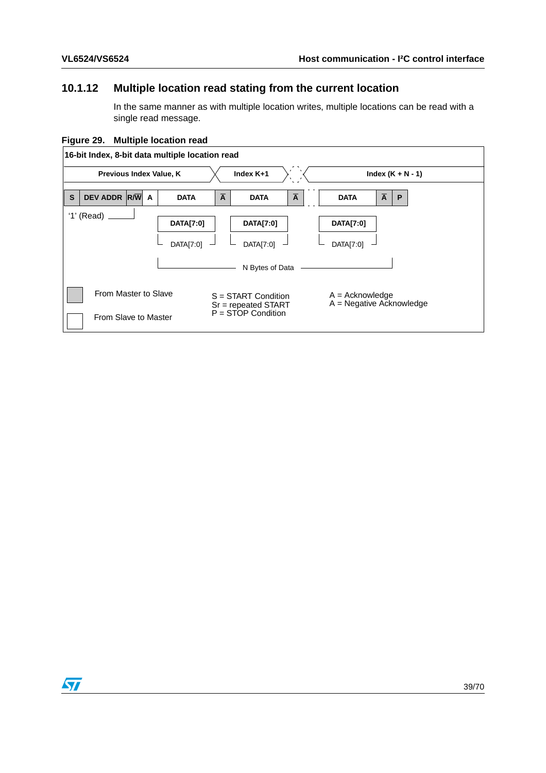## <span id="page-38-0"></span>**10.1.12 Multiple location read stating from the current location**

In the same manner as with multiple location writes, multiple locations can be read with a single read message.

<span id="page-38-1"></span>**Figure 29. Multiple location read**



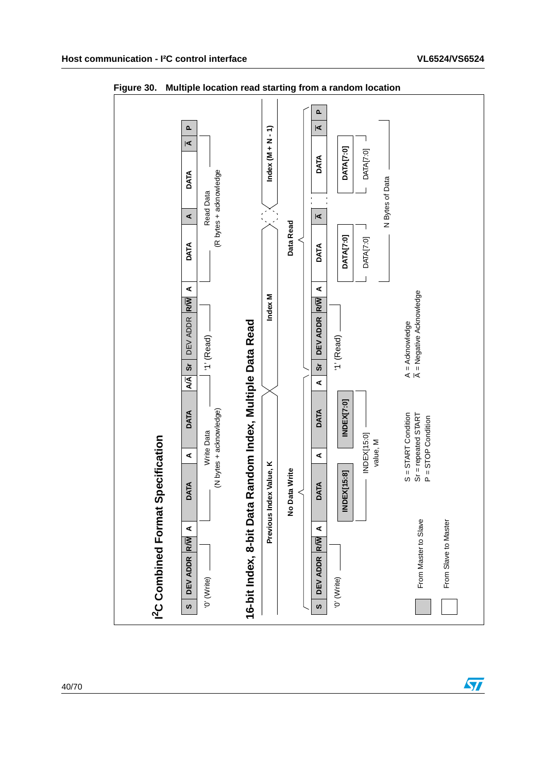

<span id="page-39-0"></span>**Figure 30. Multiple location read starting from a random location**



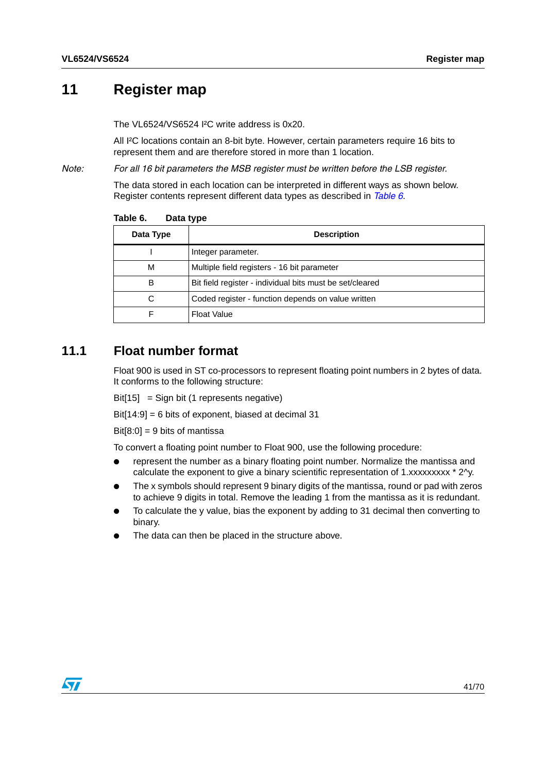## <span id="page-40-0"></span>**11 Register map**

The VL6524/VS6524 I²C write address is 0x20.

All I²C locations contain an 8-bit byte. However, certain parameters require 16 bits to represent them and are therefore stored in more than 1 location.

*Note: For all 16 bit parameters the MSB register must be written before the LSB register.*

The data stored in each location can be interpreted in different ways as shown below. Register contents represent different data types as described in *[Table 6](#page-40-2)*.

| Data Type | <b>Description</b>                                       |
|-----------|----------------------------------------------------------|
|           | Integer parameter.                                       |
| M         | Multiple field registers - 16 bit parameter              |
| в         | Bit field register - individual bits must be set/cleared |
| С         | Coded register - function depends on value written       |
|           | <b>Float Value</b>                                       |

<span id="page-40-2"></span>Table 6. **Data type** 

## <span id="page-40-1"></span>**11.1 Float number format**

Float 900 is used in ST co-processors to represent floating point numbers in 2 bytes of data. It conforms to the following structure:

Bit[15] = Sign bit (1 represents negative)

 $Bit[14:9] = 6$  bits of exponent, biased at decimal 31

 $Bit[8:0] = 9$  bits of mantissa

To convert a floating point number to Float 900, use the following procedure:

- represent the number as a binary floating point number. Normalize the mantissa and calculate the exponent to give a binary scientific representation of 1.xxxxxxxxx \* 2^y.
- The x symbols should represent 9 binary digits of the mantissa, round or pad with zeros to achieve 9 digits in total. Remove the leading 1 from the mantissa as it is redundant.
- To calculate the y value, bias the exponent by adding to 31 decimal then converting to binary.
- The data can then be placed in the structure above.

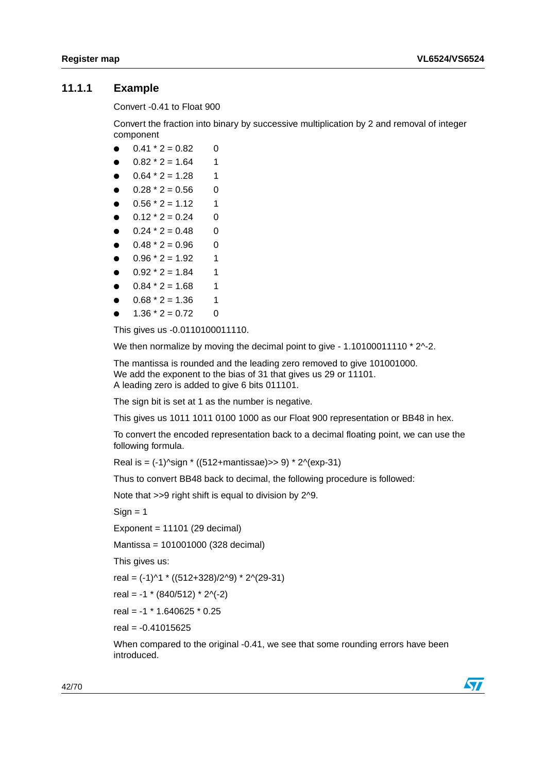### <span id="page-41-0"></span>**11.1.1 Example**

Convert -0.41 to Float 900

Convert the fraction into binary by successive multiplication by 2 and removal of integer component

- $\bullet$  0.41  $*$  2 = 0.82 0
- $0.82 * 2 = 1.64$  1
- $0.64 * 2 = 1.28$  1
- $0.28 * 2 = 0.56$  0
- $0.56 * 2 = 1.12$  1
- $0.12 * 2 = 0.24$  0
- $0.24 \times 2 = 0.48$  0
- $0.48 * 2 = 0.96$  0
- $0.96 * 2 = 1.92$  1
- $0.92 * 2 = 1.84$  1
- $0.84 \times 2 = 1.68$  1
- $0.68 * 2 = 1.36$  1
- $1.36 * 2 = 0.72$  0

This gives us -0.0110100011110.

We then normalize by moving the decimal point to give - 1.10100011110 \* 2^-2.

The mantissa is rounded and the leading zero removed to give 101001000. We add the exponent to the bias of 31 that gives us 29 or 11101. A leading zero is added to give 6 bits 011101.

The sign bit is set at 1 as the number is negative.

This gives us 1011 1011 0100 1000 as our Float 900 representation or BB48 in hex.

To convert the encoded representation back to a decimal floating point, we can use the following formula.

Real is =  $(-1)$ <sup> $\gamma$ </sup>sign  $*$  ((512+mantissae)>> 9)  $*$  2 $\gamma$ (exp-31)

Thus to convert BB48 back to decimal, the following procedure is followed:

Note that >>9 right shift is equal to division by 2^9.

 $Sian = 1$ 

Exponent =  $11101$  (29 decimal)

Mantissa = 101001000 (328 decimal)

This gives us:

real = (-1)^1 \* ((512+328)/2^9) \* 2^(29-31)

real = -1  $*$  (840/512)  $*$  2^(-2)

real = -1 \* 1.640625 \* 0.25

real = -0.41015625

When compared to the original -0.41, we see that some rounding errors have been introduced.

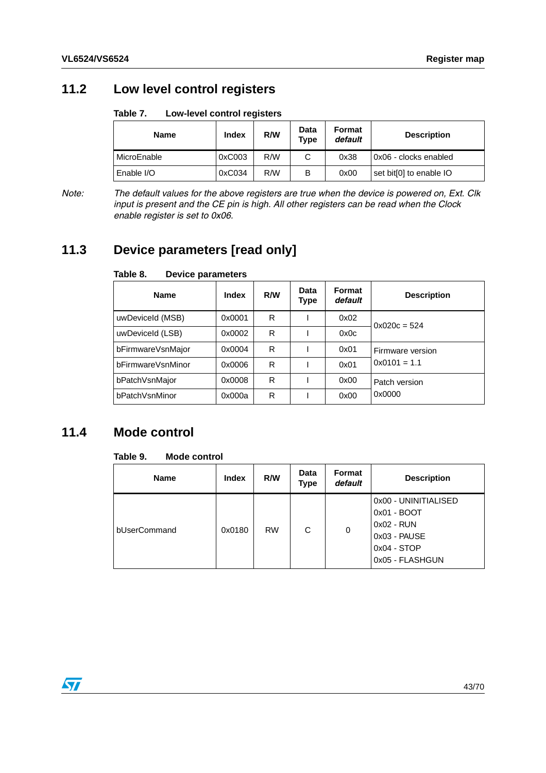## <span id="page-42-0"></span>**11.2 Low level control registers**

#### <span id="page-42-3"></span>Table 7. **Low-level control registers**

| <b>Name</b> | Index  | R/W | Data<br>Type | Format<br>default | <b>Description</b>      |
|-------------|--------|-----|--------------|-------------------|-------------------------|
| MicroEnable | 0xC003 | R/W | ັ            | 0x38              | l 0x06 - clocks enabled |
| Enable I/O  | 0xC034 | R/W | В            | 0x00              | set bit[0] to enable IO |

*Note: The default values for the above registers are true when the device is powered on, Ext. Clk input is present and the CE pin is high. All other registers can be read when the Clock enable register is set to 0x06.*

## <span id="page-42-1"></span>**11.3 Device parameters [read only]**

| <b>Name</b>       | Index  | R/W | Data<br>Type | Format<br>default | <b>Description</b> |
|-------------------|--------|-----|--------------|-------------------|--------------------|
| uwDeviceId (MSB)  | 0x0001 | R   |              | 0x02              | $0x020c = 524$     |
| uwDeviceId (LSB)  | 0x0002 | R   |              | 0x0c              |                    |
| bFirmwareVsnMajor | 0x0004 | R   |              | 0x01              | Firmware version   |
| bFirmwareVsnMinor | 0x0006 | R   |              | 0x01              | $0x0101 = 1.1$     |
| bPatchVsnMajor    | 0x0008 | R   |              | 0x00              | Patch version      |
| bPatchVsnMinor    | 0x000a | R   |              | 0x00              | 0x0000             |

#### <span id="page-42-4"></span>Table 8. **Device parameters**

## <span id="page-42-2"></span>**11.4 Mode control**

#### <span id="page-42-5"></span>Table 9. **Mode control**

| <b>Name</b>  | <b>Index</b> | R/W       | Data<br>Type | Format<br>default | <b>Description</b>                                                                                    |
|--------------|--------------|-----------|--------------|-------------------|-------------------------------------------------------------------------------------------------------|
| bUserCommand | 0x0180       | <b>RW</b> | C            | 0                 | 0x00 - UNINITIALISED<br>0x01 - BOOT<br>0x02 - RUN<br>0x03 - PAUSE<br>$0x04 - STOP$<br>0x05 - FLASHGUN |

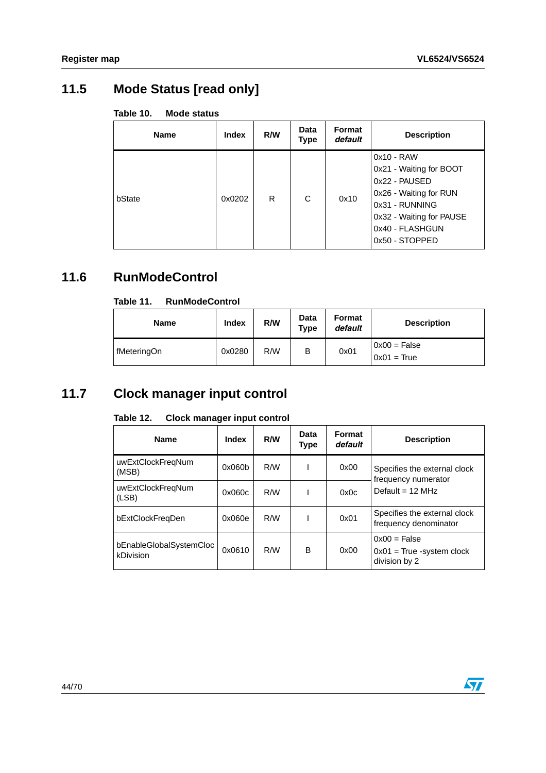## <span id="page-43-0"></span>**11.5 Mode Status [read only]**

<span id="page-43-3"></span>

| Mode status | Table 10. |  |  |  |
|-------------|-----------|--|--|--|
|-------------|-----------|--|--|--|

| <b>Name</b> | <b>Index</b> | R/W | <b>Data</b><br>Type | Format<br>default | <b>Description</b>                                                                                                                                                    |
|-------------|--------------|-----|---------------------|-------------------|-----------------------------------------------------------------------------------------------------------------------------------------------------------------------|
| bState      | 0x0202       | R   | С                   | 0x10              | $0x10 - RAW$<br>0x21 - Waiting for BOOT<br>0x22 - PAUSED<br>0x26 - Waiting for RUN<br>0x31 - RUNNING<br>0x32 - Waiting for PAUSE<br>0x40 - FLASHGUN<br>0x50 - STOPPED |

## <span id="page-43-1"></span>**11.6 RunModeControl**

#### <span id="page-43-4"></span>Table 11. **Table 11. RunModeControl**

| <b>Name</b> | Index  | R/W | Data<br><b>Type</b> | <b>Format</b><br>default | <b>Description</b>              |
|-------------|--------|-----|---------------------|--------------------------|---------------------------------|
| fMeteringOn | 0x0280 | R/W | В                   | 0x01                     | $0x00 = False$<br>$0x01 = True$ |

## <span id="page-43-2"></span>**11.7 Clock manager input control**

| <b>Name</b>                                 | Index  | R/W | Data<br>Type | Format<br>default | <b>Description</b>                                             |  |
|---------------------------------------------|--------|-----|--------------|-------------------|----------------------------------------------------------------|--|
| uwExtClockFregNum<br>(MSB)                  | 0x060b | R/W |              | 0x00              | Specifies the external clock<br>frequency numerator            |  |
| uwExtClockFregNum<br>(LSB)                  | 0x060c | R/W |              | 0x0c              | Default = $12 \text{ MHz}$                                     |  |
| bExtClockFreqDen                            | 0x060e | R/W |              | 0x01              | Specifies the external clock<br>frequency denominator          |  |
| bEnableGlobalSystemCloc<br><b>kDivision</b> | 0x0610 | R/W | B            | 0x00              | $0x00 = False$<br>$0x01$ = True -system clock<br>division by 2 |  |

#### <span id="page-43-5"></span>Table 12. **Clock manager input control**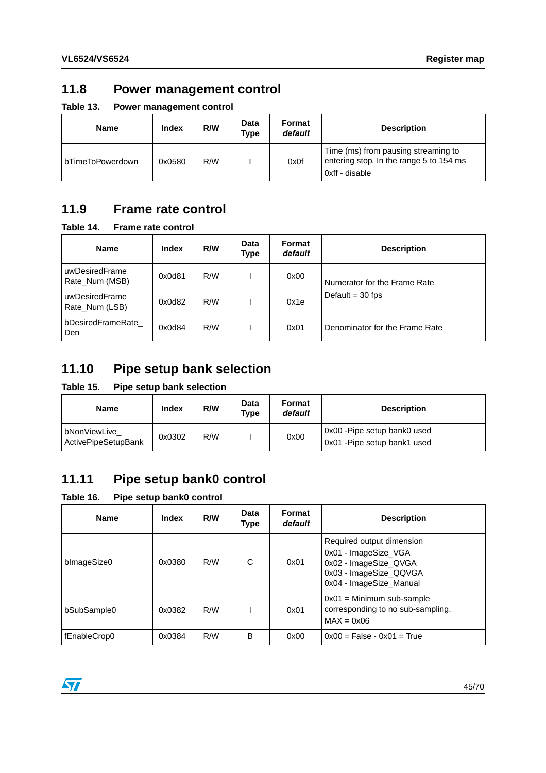## <span id="page-44-0"></span>**11.8 Power management control**

<span id="page-44-4"></span>**Table 13. Power management control**

| <b>Name</b>      | <b>Index</b> | R/W | Data<br>Type | Format<br>default | <b>Description</b>                                                                               |
|------------------|--------------|-----|--------------|-------------------|--------------------------------------------------------------------------------------------------|
| bTimeToPowerdown | 0x0580       | R/W |              | 0x0f              | Time (ms) from pausing streaming to<br>entering stop. In the range 5 to 154 ms<br>0xff - disable |

## <span id="page-44-1"></span>**11.9 Frame rate control**

<span id="page-44-5"></span>**Table 14. Frame rate control**

| <b>Name</b>                      | <b>Index</b> | R/W | Data<br>Type | Format<br>default | <b>Description</b>             |
|----------------------------------|--------------|-----|--------------|-------------------|--------------------------------|
| uwDesiredFrame<br>Rate Num (MSB) | 0x0d81       | R/W |              | 0x00              | Numerator for the Frame Rate   |
| uwDesiredFrame<br>Rate Num (LSB) | 0x0d82       | R/W |              | 0x1e              | Default = $30$ fps             |
| bDesiredFrameRate<br>Den         | 0x0d84       | R/W |              | 0x01              | Denominator for the Frame Rate |

## <span id="page-44-2"></span>**11.10 Pipe setup bank selection**

### <span id="page-44-6"></span>**Table 15. Pipe setup bank selection**

| Name                                | Index  | R/W | Data<br>Type | Format<br>default | <b>Description</b>                                           |
|-------------------------------------|--------|-----|--------------|-------------------|--------------------------------------------------------------|
| bNonViewLive<br>ActivePipeSetupBank | 0x0302 | R/W |              | 0x00              | 0x00 - Pipe setup bank0 used<br>0x01 - Pipe setup bank1 used |

## <span id="page-44-3"></span>**11.11 Pipe setup bank0 control**

<span id="page-44-7"></span>**Table 16. Pipe setup bank0 control**

| <b>Name</b>  | Index  | R/W | Data<br><b>Type</b> | Format<br>default | <b>Description</b>                                                                                                              |
|--------------|--------|-----|---------------------|-------------------|---------------------------------------------------------------------------------------------------------------------------------|
| blmageSize0  | 0x0380 | R/W | C                   | 0x01              | Required output dimension<br>0x01 - ImageSize_VGA<br>0x02 - ImageSize_QVGA<br>0x03 - ImageSize_QQVGA<br>0x04 - ImageSize_Manual |
| bSubSample0  | 0x0382 | R/W |                     | 0x01              | $0x01$ = Minimum sub-sample<br>corresponding to no sub-sampling.<br>$MAX = 0x06$                                                |
| fEnableCrop0 | 0x0384 | R/W | B                   | 0x00              | $0x00$ = False - $0x01$ = True                                                                                                  |

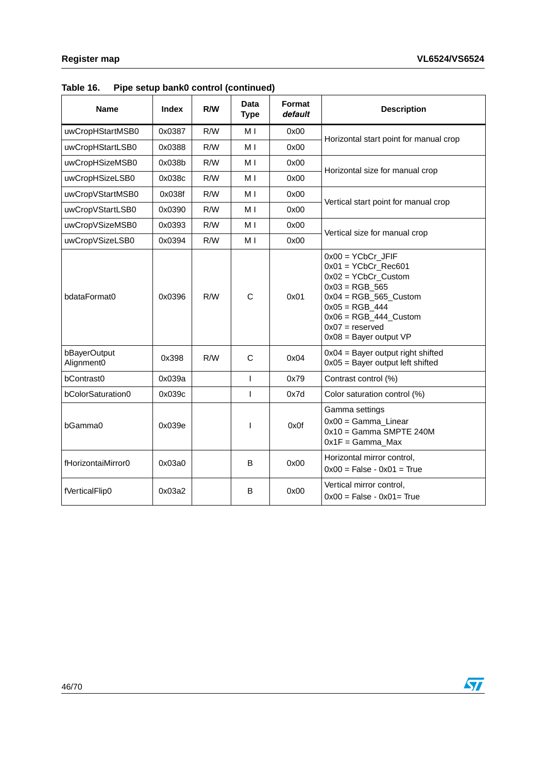| <b>Name</b>                | <b>Index</b> | R/W | Data<br><b>Type</b> | Format<br>default | <b>Description</b>                                                                                                                                                                                                    |
|----------------------------|--------------|-----|---------------------|-------------------|-----------------------------------------------------------------------------------------------------------------------------------------------------------------------------------------------------------------------|
| uwCropHStartMSB0           | 0x0387       | R/W | M <sub>1</sub>      | 0x00              | Horizontal start point for manual crop                                                                                                                                                                                |
| uwCropHStartLSB0           | 0x0388       | R/W | M I                 | 0x00              |                                                                                                                                                                                                                       |
| uwCropHSizeMSB0            | 0x038b       | R/W | M I                 | 0x00              | Horizontal size for manual crop                                                                                                                                                                                       |
| uwCropHSizeLSB0            | 0x038c       | R/W | M I                 | 0x00              |                                                                                                                                                                                                                       |
| uwCropVStartMSB0           | 0x038f       | R/W | M I                 | 0x00              |                                                                                                                                                                                                                       |
| uwCropVStartLSB0           | 0x0390       | R/W | M I                 | 0x00              | Vertical start point for manual crop                                                                                                                                                                                  |
| uwCropVSizeMSB0            | 0x0393       | R/W | M I                 | 0x00              |                                                                                                                                                                                                                       |
| uwCropVSizeLSB0            | 0x0394       | R/W | M <sub>1</sub>      | 0x00              | Vertical size for manual crop                                                                                                                                                                                         |
| bdataFormat0               | 0x0396       | R/W | $\mathsf{C}$        | 0x01              | $0x00 = YCbCr$ JFIF<br>$0x01 = YCbCr$ Rec601<br>$0x02 = YCbCr$ Custom<br>$0x03 = RGB$ 565<br>$0x04 = RGB_565$ _Custom<br>$0x05 = RGB_444$<br>$0x06 = RGB_444$ Custom<br>$0x07 =$ reserved<br>$0x08$ = Bayer output VP |
| bBayerOutput<br>Alignment0 | 0x398        | R/W | $\mathsf{C}$        | 0x04              | $0x04 =$ Bayer output right shifted<br>$0x05$ = Bayer output left shifted                                                                                                                                             |
| bContrast0                 | 0x039a       |     | $\mathbf{I}$        | 0x79              | Contrast control (%)                                                                                                                                                                                                  |
| bColorSaturation0          | 0x039c       |     | T                   | 0x7d              | Color saturation control (%)                                                                                                                                                                                          |
| bGamma0                    | 0x039e       |     | I                   | 0x0f              | Gamma settings<br>$0x00 = Gamma$ Linear<br>$0x10 =$ Gamma SMPTE 240M<br>$0x1F = Gamma_Max$                                                                                                                            |
| fHorizontaiMirror0         | 0x03a0       |     | B                   | 0x00              | Horizontal mirror control,<br>$0x00 = False - 0x01 = True$                                                                                                                                                            |
| fVerticalFlip0             | 0x03a2       |     | B                   | 0x00              | Vertical mirror control,<br>$0x00 = False - 0x01 = True$                                                                                                                                                              |

**Table 16. Pipe setup bank0 control (continued)**

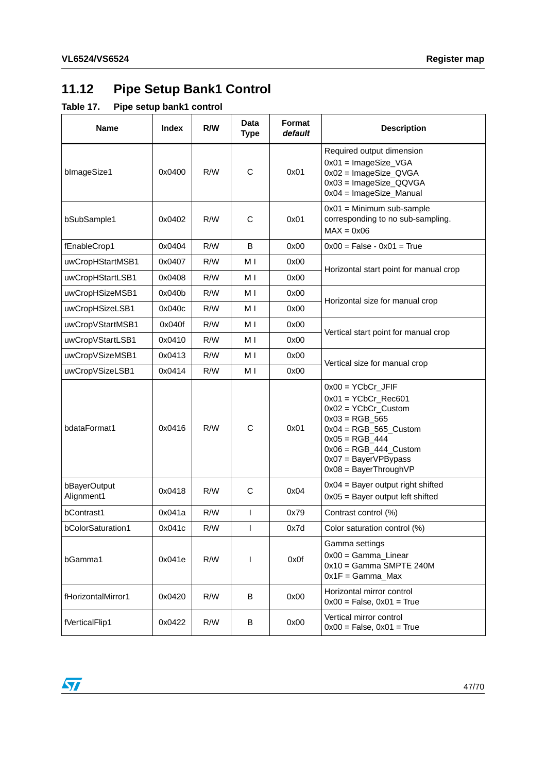# <span id="page-46-0"></span>**11.12 Pipe Setup Bank1 Control**

### <span id="page-46-1"></span>**Table 17. Pipe setup bank1 control**

| <b>Name</b>                | <b>Index</b> | R/W | Data<br><b>Type</b> | Format<br>default | <b>Description</b>                                                                                                                                                                                                             |
|----------------------------|--------------|-----|---------------------|-------------------|--------------------------------------------------------------------------------------------------------------------------------------------------------------------------------------------------------------------------------|
| blmageSize1                | 0x0400       | R/W | $\mathsf{C}$        | 0x01              | Required output dimension<br>$0x01 = ImageSize_VGA$<br>$0x02$ = ImageSize_QVGA<br>0x03 = ImageSize_QQVGA<br>$0x04 = ImageSize_M$ anual                                                                                         |
| bSubSample1                | 0x0402       | R/W | С                   | 0x01              | $0x01 =$ Minimum sub-sample<br>corresponding to no sub-sampling.<br>$MAX = 0x06$                                                                                                                                               |
| fEnableCrop1               | 0x0404       | R/W | B                   | 0x00              | $0x00 = False - 0x01 = True$                                                                                                                                                                                                   |
| uwCropHStartMSB1           | 0x0407       | R/W | M I                 | 0x00              |                                                                                                                                                                                                                                |
| uwCropHStartLSB1           | 0x0408       | R/W | M I                 | 0x00              | Horizontal start point for manual crop                                                                                                                                                                                         |
| uwCropHSizeMSB1            | 0x040b       | R/W | M I                 | 0x00              |                                                                                                                                                                                                                                |
| uwCropHSizeLSB1            | 0x040c       | R/W | M I                 | 0x00              | Horizontal size for manual crop                                                                                                                                                                                                |
| uwCropVStartMSB1           | 0x040f       | R/W | M I                 | 0x00              |                                                                                                                                                                                                                                |
| uwCropVStartLSB1           | 0x0410       | R/W | M I                 | 0x00              | Vertical start point for manual crop                                                                                                                                                                                           |
| uwCropVSizeMSB1            | 0x0413       | R/W | M I                 | 0x00              |                                                                                                                                                                                                                                |
| uwCropVSizeLSB1            | 0x0414       | R/W | M I                 | 0x00              | Vertical size for manual crop                                                                                                                                                                                                  |
| bdataFormat1               | 0x0416       | R/W | C                   | 0x01              | $0x00 = YCbCr$ _JFIF<br>$0x01 = YCbCr_{Rec}601$<br>$0x02 = YCbCr$ _Custom<br>$0x03 = RGB_565$<br>$0x04 = RGB_565_C$ ustom<br>$0x05 = RGB_444$<br>$0x06 = RGB_444_C$ ustom<br>$0x07 = BayerVPBypass$<br>$0x08 = BayerThroughVP$ |
| bBayerOutput<br>Alignment1 | 0x0418       | R/W | C                   | 0x04              | $0x04 =$ Bayer output right shifted<br>$0x05$ = Bayer output left shifted                                                                                                                                                      |
| bContrast1                 | 0x041a       | R/W | T                   | 0x79              | Contrast control (%)                                                                                                                                                                                                           |
| bColorSaturation1          | 0x041c       | R/W | L                   | 0x7d              | Color saturation control (%)                                                                                                                                                                                                   |
| bGamma1                    | 0x041e       | R/W | $\mathsf{I}$        | 0x0f              | Gamma settings<br>$0x00 = Gamma$ Linear<br>$0x10 =$ Gamma SMPTE 240M<br>$0x1F = Gamma_Max$                                                                                                                                     |
| fHorizontalMirror1         | 0x0420       | R/W | В                   | 0x00              | Horizontal mirror control<br>$0x00 = False$ , $0x01 = True$                                                                                                                                                                    |
| fVerticalFlip1             | 0x0422       | R/W | В                   | 0x00              | Vertical mirror control<br>$0x00 = False, 0x01 = True$                                                                                                                                                                         |

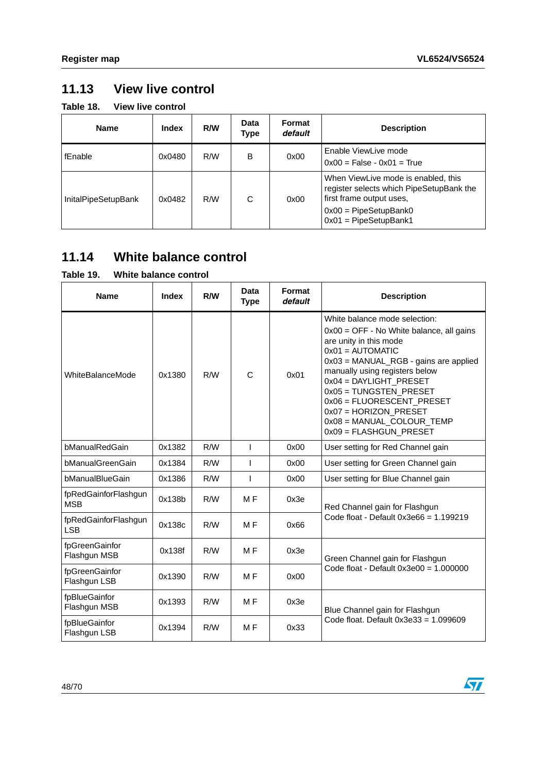## <span id="page-47-0"></span>**11.13 View live control**

<span id="page-47-2"></span>**Table 18. View live control**

| <b>Name</b>                | Index  | R/W | Data<br>Type | Format<br>default | <b>Description</b>                                                                                                                                                       |
|----------------------------|--------|-----|--------------|-------------------|--------------------------------------------------------------------------------------------------------------------------------------------------------------------------|
| fEnable                    | 0x0480 | R/W | B            | 0x00              | Enable ViewLive mode<br>$0x00$ = False - $0x01$ = True                                                                                                                   |
| <b>InitalPipeSetupBank</b> | 0x0482 | R/W | C            | 0x00              | When ViewLive mode is enabled, this<br>register selects which PipeSetupBank the<br>first frame output uses.<br>$0x00 =$ PipeSetupBank0<br>$0x01 = \text{PipeSetupBank1}$ |

## <span id="page-47-1"></span>**11.14 White balance control**

### <span id="page-47-3"></span>**Table 19. White balance control**

| avıc i <i>j</i> .                  |        |     |                     |                   |                                                                                                                                                                                                                                                                                                                                                                           |  |  |  |
|------------------------------------|--------|-----|---------------------|-------------------|---------------------------------------------------------------------------------------------------------------------------------------------------------------------------------------------------------------------------------------------------------------------------------------------------------------------------------------------------------------------------|--|--|--|
| <b>Name</b>                        | Index  | R/W | Data<br><b>Type</b> | Format<br>default | <b>Description</b>                                                                                                                                                                                                                                                                                                                                                        |  |  |  |
| WhiteBalanceMode                   | 0x1380 | R/W | C                   | 0x01              | White balance mode selection:<br>$0x00 = OFF - No White balance, all gains$<br>are unity in this mode<br>$0x01 =$ AUTOMATIC<br>0x03 = MANUAL_RGB - gains are applied<br>manually using registers below<br>0x04 = DAYLIGHT_PRESET<br>0x05 = TUNGSTEN_PRESET<br>0x06 = FLUORESCENT_PRESET<br>0x07 = HORIZON_PRESET<br>0x08 = MANUAL_COLOUR_TEMP<br>$0x09 = FLASHGUN_PRESET$ |  |  |  |
| bManualRedGain                     | 0x1382 | R/W | $\mathsf{I}$        | 0x00              | User setting for Red Channel gain                                                                                                                                                                                                                                                                                                                                         |  |  |  |
| bManualGreenGain                   | 0x1384 | R/W | ı                   | 0x00              | User setting for Green Channel gain                                                                                                                                                                                                                                                                                                                                       |  |  |  |
| bManualBlueGain                    | 0x1386 | R/W | ı                   | 0x00              | User setting for Blue Channel gain                                                                                                                                                                                                                                                                                                                                        |  |  |  |
| fpRedGainforFlashgun<br><b>MSB</b> | 0x138b | R/W | M <sub>F</sub>      | 0x3e              | Red Channel gain for Flashgun                                                                                                                                                                                                                                                                                                                                             |  |  |  |
| fpRedGainforFlashgun<br><b>LSB</b> | 0x138c | R/W | M <sub>F</sub>      | 0x66              | Code float - Default $0x3e66 = 1.199219$                                                                                                                                                                                                                                                                                                                                  |  |  |  |
| fpGreenGainfor<br>Flashgun MSB     | 0x138f | R/W | M <sub>F</sub>      | 0x3e              | Green Channel gain for Flashgun                                                                                                                                                                                                                                                                                                                                           |  |  |  |
| fpGreenGainfor<br>Flashgun LSB     | 0x1390 | R/W | M <sub>F</sub>      | 0x00              | Code float - Default $0x3e00 = 1.000000$                                                                                                                                                                                                                                                                                                                                  |  |  |  |
| fpBlueGainfor<br>Flashgun MSB      | 0x1393 | R/W | M <sub>F</sub>      | 0x3e              | Blue Channel gain for Flashgun                                                                                                                                                                                                                                                                                                                                            |  |  |  |
| fpBlueGainfor<br>Flashgun LSB      | 0x1394 | R/W | M <sub>F</sub>      | 0x33              | Code float. Default $0x3e33 = 1.099609$                                                                                                                                                                                                                                                                                                                                   |  |  |  |

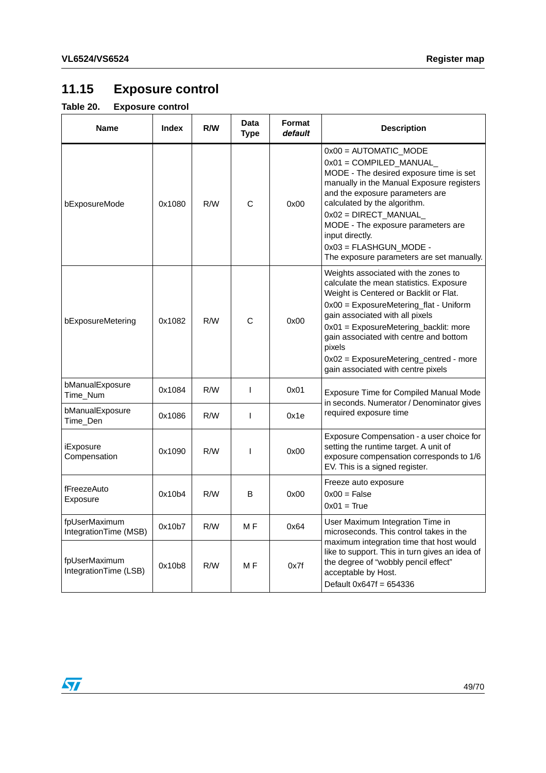# <span id="page-48-0"></span>**11.15 Exposure control**

### <span id="page-48-1"></span>**Table 20. Exposure control**

| <b>Name</b>                            | <b>Index</b> | R/W | <b>Data</b><br><b>Type</b> | Format<br>default | <b>Description</b>                                                                                                                                                                                                                                                                                                                                                                  |
|----------------------------------------|--------------|-----|----------------------------|-------------------|-------------------------------------------------------------------------------------------------------------------------------------------------------------------------------------------------------------------------------------------------------------------------------------------------------------------------------------------------------------------------------------|
| bExposureMode                          | 0x1080       | R/W | C                          | 0x00              | $0x00 =$ AUTOMATIC_MODE<br>$0x01 = COMPILED_MANUAL$<br>MODE - The desired exposure time is set<br>manually in the Manual Exposure registers<br>and the exposure parameters are<br>calculated by the algorithm.<br>$0x02 = DIRECT_MANUAL$<br>MODE - The exposure parameters are<br>input directly.<br>$0x03 = FLASHGUN_MODE -$<br>The exposure parameters are set manually.          |
| bExposureMetering                      | 0x1082       | R/W | Ć                          | 0x00              | Weights associated with the zones to<br>calculate the mean statistics. Exposure<br>Weight is Centered or Backlit or Flat.<br>0x00 = ExposureMetering_flat - Uniform<br>gain associated with all pixels<br>0x01 = ExposureMetering_backlit: more<br>gain associated with centre and bottom<br>pixels<br>0x02 = ExposureMetering_centred - more<br>gain associated with centre pixels |
| bManualExposure<br>Time_Num            | 0x1084       | R/W | $\mathsf{I}$               | 0x01              | Exposure Time for Compiled Manual Mode<br>in seconds. Numerator / Denominator gives                                                                                                                                                                                                                                                                                                 |
| bManualExposure<br>Time_Den            | 0x1086       | R/W | $\mathsf{I}$               | 0x1e              | required exposure time                                                                                                                                                                                                                                                                                                                                                              |
| iExposure<br>Compensation              | 0x1090       | R/W | $\mathsf{I}$               | 0x00              | Exposure Compensation - a user choice for<br>setting the runtime target. A unit of<br>exposure compensation corresponds to 1/6<br>EV. This is a signed register.                                                                                                                                                                                                                    |
| fFreezeAuto<br>Exposure                | 0x10b4       | R/W | B                          | 0x00              | Freeze auto exposure<br>$0x00 = False$<br>$0x01 = True$                                                                                                                                                                                                                                                                                                                             |
| fpUserMaximum<br>IntegrationTime (MSB) | 0x10b7       | R/W | M F                        | 0x64              | User Maximum Integration Time in<br>microseconds. This control takes in the                                                                                                                                                                                                                                                                                                         |
| fpUserMaximum<br>IntegrationTime (LSB) | 0x10b8       | R/W | M <sub>F</sub>             | 0x7f              | maximum integration time that host would<br>like to support. This in turn gives an idea of<br>the degree of "wobbly pencil effect"<br>acceptable by Host.<br>Default $0x647f = 654336$                                                                                                                                                                                              |

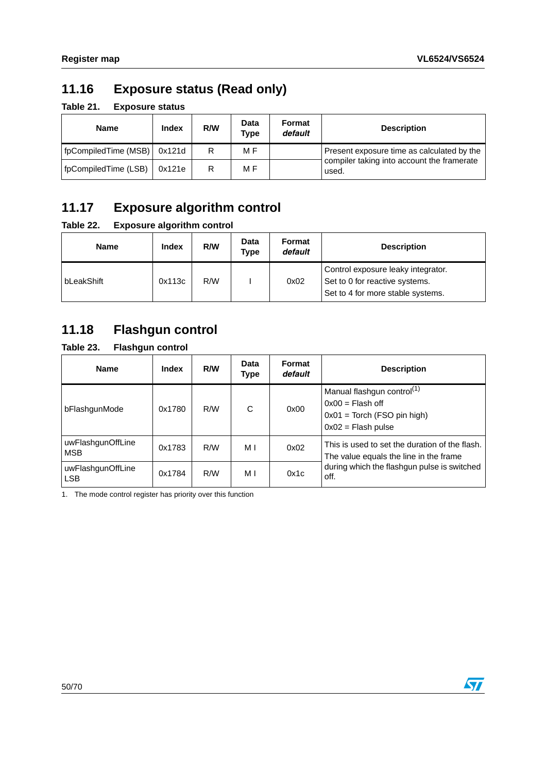## <span id="page-49-0"></span>**11.16 Exposure status (Read only)**

<span id="page-49-3"></span>**Table 21. Exposure status**

| <b>Name</b>          | <b>Index</b> | R/W | Data<br>Type | Format<br>default | <b>Description</b>                                  |
|----------------------|--------------|-----|--------------|-------------------|-----------------------------------------------------|
| fpCompiledTime (MSB) | 0x121d       | R   | M F          |                   | Present exposure time as calculated by the          |
| fpCompiledTime (LSB) | 0x121e       | R   | M F          |                   | compiler taking into account the framerate<br>used. |

## <span id="page-49-1"></span>**11.17 Exposure algorithm control**

### <span id="page-49-4"></span>**Table 22. Exposure algorithm control**

| Name       | <b>Index</b> | R/W | <b>Data</b><br>Type | Format<br>default | <b>Description</b>                                                                                        |
|------------|--------------|-----|---------------------|-------------------|-----------------------------------------------------------------------------------------------------------|
| bLeakShift | 0x113c       | R/W |                     | 0x02              | Control exposure leaky integrator.<br>Set to 0 for reactive systems.<br>Set to 4 for more stable systems. |

## <span id="page-49-2"></span>**11.18 Flashgun control**

### <span id="page-49-5"></span>**Table 23. Flashgun control**

| <b>Name</b>                     | <b>Index</b> | R/W | Data<br>Type | Format<br>default | <b>Description</b>                                                                                                    |
|---------------------------------|--------------|-----|--------------|-------------------|-----------------------------------------------------------------------------------------------------------------------|
| bFlashgunMode                   | 0x1780       | R/W | C            | 0x00              | Manual flashgun control <sup>(1)</sup><br>$0x00 =$ Flash off<br>$0x01 =$ Torch (FSO pin high)<br>$0x02$ = Flash pulse |
| uwFlashgunOffLine<br><b>MSB</b> | 0x1783       | R/W | МI           | 0x02              | This is used to set the duration of the flash.<br>The value equals the line in the frame                              |
| uwFlashgunOffLine<br><b>LSB</b> | 0x1784       | R/W | МI           | 0x1c              | during which the flashgun pulse is switched<br>off.                                                                   |

1. The mode control register has priority over this function

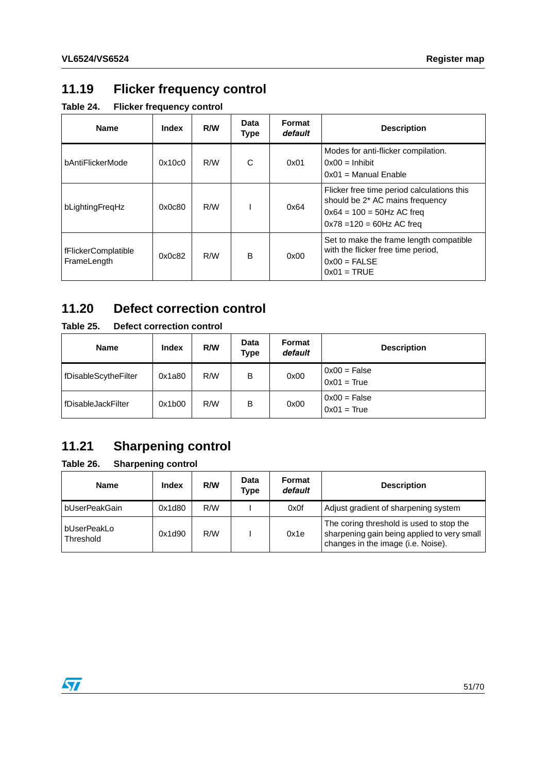## <span id="page-50-0"></span>**11.19 Flicker frequency control**

<span id="page-50-3"></span>**Table 24. Flicker frequency control**

| <b>Name</b>                        | <b>Index</b> | R/W | Data<br>Type | Format<br>default | <b>Description</b>                                                                                                                            |
|------------------------------------|--------------|-----|--------------|-------------------|-----------------------------------------------------------------------------------------------------------------------------------------------|
| bAntiFlickerMode                   | 0x10c0       | R/W | C            | 0x01              | Modes for anti-flicker compilation.<br>$0x00 =$ Inhibit<br>$0x01$ = Manual Enable                                                             |
| bLightingFregHz                    | 0x0c80       | R/W |              | 0x64              | Flicker free time period calculations this<br>should be 2* AC mains frequency<br>$0x64 = 100 = 50$ Hz AC freq<br>$0x78 = 120 = 60$ Hz AC freq |
| fFlickerComplatible<br>FrameLength | 0x0c82       | R/W | B            | 0x00              | Set to make the frame length compatible<br>with the flicker free time period,<br>$0x00 = FALSE$<br>$0x01 = TRUE$                              |

## <span id="page-50-1"></span>**11.20 Defect correction control**

### <span id="page-50-4"></span>**Table 25. Defect correction control**

| <b>Name</b>          | <b>Index</b> | R/W | Data<br>Type | <b>Format</b><br>default | <b>Description</b>              |
|----------------------|--------------|-----|--------------|--------------------------|---------------------------------|
| fDisableScytheFilter | 0x1a80       | R/W | B            | 0x00                     | $0x00 = False$<br>$0x01 = True$ |
| fDisableJackFilter   | 0x1b00       | R/W | B            | 0x00                     | $0x00 = False$<br>$0x01 = True$ |

## <span id="page-50-2"></span>**11.21 Sharpening control**

<span id="page-50-5"></span>**Table 26. Sharpening control**

| Name                     | <b>Index</b> | R/W | Data<br>Type | Format<br>default | <b>Description</b>                                                                                                            |
|--------------------------|--------------|-----|--------------|-------------------|-------------------------------------------------------------------------------------------------------------------------------|
| bUserPeakGain            | 0x1d80       | R/W |              | 0x0f              | Adjust gradient of sharpening system                                                                                          |
| bUserPeakLo<br>Threshold | 0x1d90       | R/W |              | 0x1e              | The coring threshold is used to stop the<br>sharpening gain being applied to very small<br>changes in the image (i.e. Noise). |

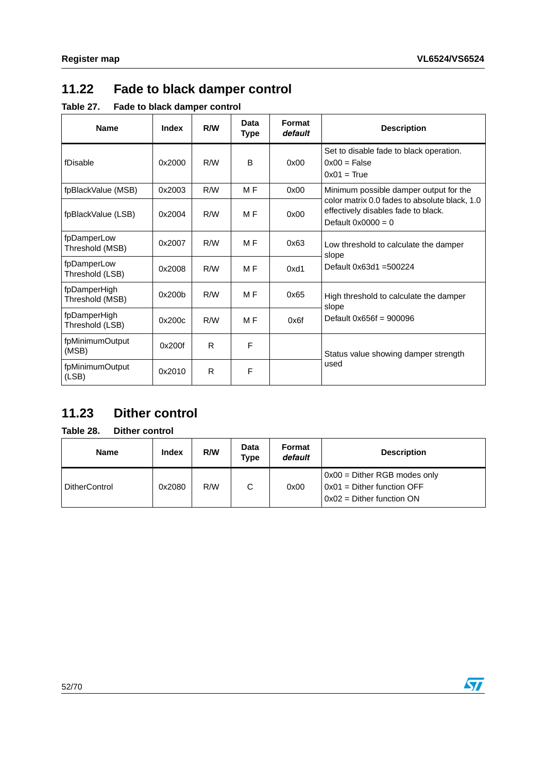$\sqrt{2}$ 

## <span id="page-51-0"></span>**11.22 Fade to black damper control**

<span id="page-51-2"></span>**Table 27. Fade to black damper control**

| <b>Name</b>                     | <b>Index</b> | R/W | Data<br><b>Type</b> | Format<br>default | <b>Description</b>                                                                                           |
|---------------------------------|--------------|-----|---------------------|-------------------|--------------------------------------------------------------------------------------------------------------|
| fDisable                        | 0x2000       | R/W | B                   | 0x00              | Set to disable fade to black operation.<br>$0x00 = False$<br>$0x01 = True$                                   |
| fpBlackValue (MSB)              | 0x2003       | R/W | M <sub>F</sub>      | 0x00              | Minimum possible damper output for the                                                                       |
| fpBlackValue (LSB)              | 0x2004       | R/M | M <sub>F</sub>      | 0x00              | color matrix 0.0 fades to absolute black, 1.0<br>effectively disables fade to black.<br>Default $0x0000 = 0$ |
| fpDamperLow<br>Threshold (MSB)  | 0x2007       | R/W | M F                 | 0x63              | Low threshold to calculate the damper<br>slope                                                               |
| fpDamperLow<br>Threshold (LSB)  | 0x2008       | R/W | M <sub>F</sub>      | 0xd1              | Default 0x63d1 = 500224                                                                                      |
| fpDamperHigh<br>Threshold (MSB) | 0x200b       | R/W | M <sub>F</sub>      | 0x65              | High threshold to calculate the damper<br>slope                                                              |
| fpDamperHigh<br>Threshold (LSB) | 0x200c       | R/W | M <sub>F</sub>      | 0x6f              | Default $0x656f = 900096$                                                                                    |
| fpMinimumOutput<br>(MSB)        | 0x200f       | R   | F                   |                   | Status value showing damper strength                                                                         |
| fpMinimumOutput<br>(LSB)        | 0x2010       | R   | F                   |                   | used                                                                                                         |

## <span id="page-51-1"></span>**11.23 Dither control**

## <span id="page-51-3"></span>**Table 28. Dither control**

| Name                 | Index  | R/W | <b>Data</b><br>Type | Format<br>default | <b>Description</b>             |
|----------------------|--------|-----|---------------------|-------------------|--------------------------------|
|                      |        |     |                     |                   | $0x00 =$ Dither RGB modes only |
| <b>DitherControl</b> | 0x2080 | R/W | С                   | 0x00              | 0x01 = Dither function OFF     |
|                      |        |     |                     |                   | $0x02$ = Dither function ON    |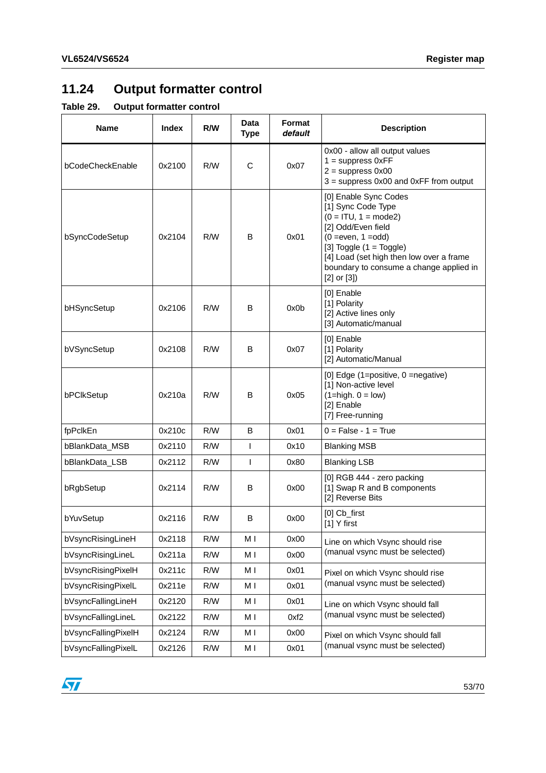# <span id="page-52-0"></span>**11.24 Output formatter control**

<span id="page-52-1"></span>**Table 29. Output formatter control**

| <b>Name</b>         | <b>Index</b> | R/W | Data<br><b>Type</b> | Format<br>default | <b>Description</b>                                                                                                                                                                                                                                           |
|---------------------|--------------|-----|---------------------|-------------------|--------------------------------------------------------------------------------------------------------------------------------------------------------------------------------------------------------------------------------------------------------------|
| bCodeCheckEnable    | 0x2100       | R/W | C                   | 0x07              | 0x00 - allow all output values<br>$1 =$ suppress $0xFF$<br>$2 =$ suppress $0x00$<br>$3 =$ suppress 0x00 and 0xFF from output                                                                                                                                 |
| bSyncCodeSetup      | 0x2104       | R/W | B                   | 0x01              | [0] Enable Sync Codes<br>[1] Sync Code Type<br>$(0 = ITU, 1 = mode2)$<br>[2] Odd/Even field<br>$(0 = even, 1 = odd)$<br>[3] Toggle $(1 = Toggle)$<br>[4] Load (set high then low over a frame<br>boundary to consume a change applied in<br>$[2]$ or $[3]$ ) |
| bHSyncSetup         | 0x2106       | R/W | B                   | 0x0b              | [0] Enable<br>[1] Polarity<br>[2] Active lines only<br>[3] Automatic/manual                                                                                                                                                                                  |
| bVSyncSetup         | 0x2108       | R/W | B                   | 0x07              | [0] Enable<br>[1] Polarity<br>[2] Automatic/Manual                                                                                                                                                                                                           |
| bPCIkSetup          | 0x210a       | R/W | B                   | 0x05              | [0] Edge (1=positive, 0 =negative)<br>[1] Non-active level<br>$(1 = high. 0 = low)$<br>[2] Enable<br>[7] Free-running                                                                                                                                        |
| fpPclkEn            | 0x210c       | R/W | B                   | 0x01              | $0 = False - 1 = True$                                                                                                                                                                                                                                       |
| bBlankData_MSB      | 0x2110       | R/W | $\mathsf{I}$        | 0x10              | <b>Blanking MSB</b>                                                                                                                                                                                                                                          |
| bBlankData_LSB      | 0x2112       | R/W | $\mathsf{I}$        | 0x80              | <b>Blanking LSB</b>                                                                                                                                                                                                                                          |
| bRgbSetup           | 0x2114       | R/W | В                   | 0x00              | [0] RGB 444 - zero packing<br>[1] Swap R and B components<br>[2] Reverse Bits                                                                                                                                                                                |
| bYuvSetup           | 0x2116       | R/W | B                   | 0x00              | $[0]$ $Cb$ first<br>[1] Y first                                                                                                                                                                                                                              |
| bVsyncRisingLineH   | 0x2118       | R/W | МI                  | 0x00              | Line on which Vsync should rise                                                                                                                                                                                                                              |
| bVsyncRisingLineL   | 0x211a       | R/W | M I                 | 0x00              | (manual vsync must be selected)                                                                                                                                                                                                                              |
| bVsyncRisingPixelH  | 0x211c       | R/W | M I                 | 0x01              | Pixel on which Vsync should rise                                                                                                                                                                                                                             |
| bVsyncRisingPixelL  | 0x211e       | R/W | M I                 | 0x01              | (manual vsync must be selected)                                                                                                                                                                                                                              |
| bVsyncFallingLineH  | 0x2120       | R/W | МI                  | 0x01              | Line on which Vsync should fall                                                                                                                                                                                                                              |
| bVsyncFallingLineL  | 0x2122       | R/W | МI                  | 0xf2              | (manual vsync must be selected)                                                                                                                                                                                                                              |
| bVsyncFallingPixelH | 0x2124       | R/W | M I                 | 0x00              | Pixel on which Vsync should fall                                                                                                                                                                                                                             |
| bVsyncFallingPixelL | 0x2126       | R/W | M I                 | 0x01              | (manual vsync must be selected)                                                                                                                                                                                                                              |

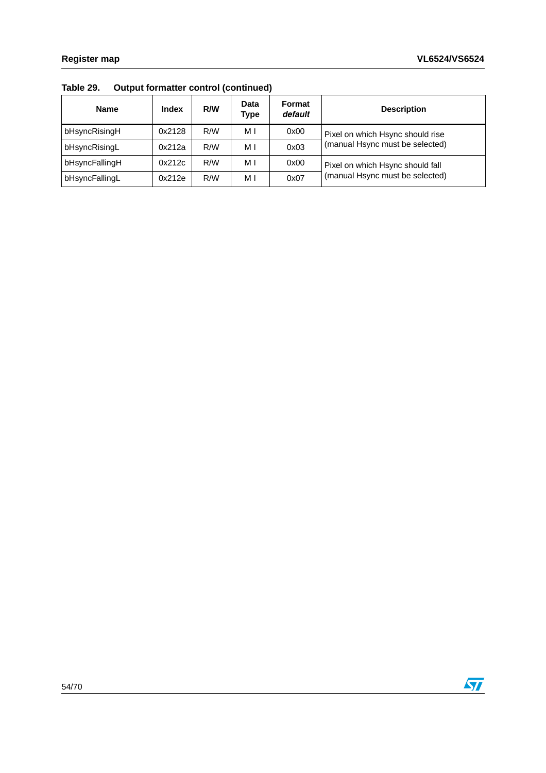| <b>Name</b>    | <b>Index</b> | R/W | Data<br>Type | Format<br>default | <b>Description</b>               |
|----------------|--------------|-----|--------------|-------------------|----------------------------------|
| bHsyncRisingH  | 0x2128       | R/W | мı           | 0x00              | Pixel on which Hsync should rise |
| bHsyncRisingL  | 0x212a       | R/W | МI           | 0x03              | (manual Hsync must be selected)  |
| bHsyncFallingH | 0x212c       | R/W | МI           | 0x00              | Pixel on which Hsync should fall |
| bHsyncFallingL | 0x212e       | R/W | МI           | 0x07              | (manual Hsync must be selected)  |

**Table 29. Output formatter control (continued)**

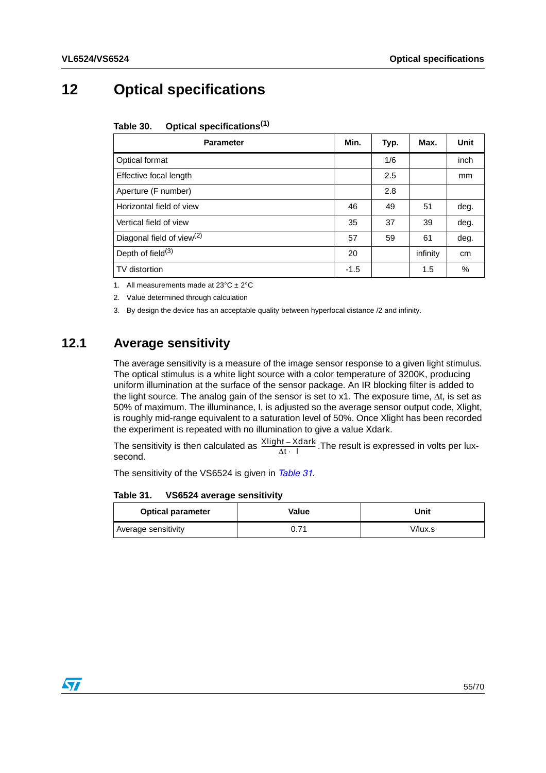# <span id="page-54-0"></span>**12 Optical specifications**

#### <span id="page-54-2"></span>Table 30. **Table 30. Optical specifications(1)**

| <b>Parameter</b>                      | Min.   | Typ. | Max.     | Unit |
|---------------------------------------|--------|------|----------|------|
| Optical format                        |        | 1/6  |          | inch |
| Effective focal length                |        | 2.5  |          | mm   |
| Aperture (F number)                   |        | 2.8  |          |      |
| Horizontal field of view              | 46     | 49   | 51       | deg. |
| Vertical field of view                | 35     | 37   | 39       | deg. |
| Diagonal field of view <sup>(2)</sup> | 57     | 59   | 61       | deg. |
| Depth of field $(3)$                  | 20     |      | infinity | cm   |
| TV distortion                         | $-1.5$ |      | 1.5      | %    |

1. All measurements made at  $23^{\circ}C \pm 2^{\circ}C$ 

2. Value determined through calculation

3. By design the device has an acceptable quality between hyperfocal distance /2 and infinity.

## <span id="page-54-1"></span>**12.1 Average sensitivity**

The average sensitivity is a measure of the image sensor response to a given light stimulus. The optical stimulus is a white light source with a color temperature of 3200K, producing uniform illumination at the surface of the sensor package. An IR blocking filter is added to the light source. The analog gain of the sensor is set to x1. The exposure time, ∆t, is set as 50% of maximum. The illuminance, I, is adjusted so the average sensor output code, Xlight, is roughly mid-range equivalent to a saturation level of 50%. Once Xlight has been recorded the experiment is repeated with no illumination to give a value Xdark.

The sensitivity is then calculated as  $\frac{\text{Xlight} - \text{Xdark}}{\Delta t + 1}$ . The result is expressed in volts per luxsecond.

The sensitivity of the VS6524 is given in *[Table 31](#page-54-3)*.

<span id="page-54-3"></span>Table 31. **VS6524 average sensitivity** 

| <b>Optical parameter</b> | Value | Unit    |
|--------------------------|-------|---------|
| Average sensitivity      | 0.71  | V/lux.s |

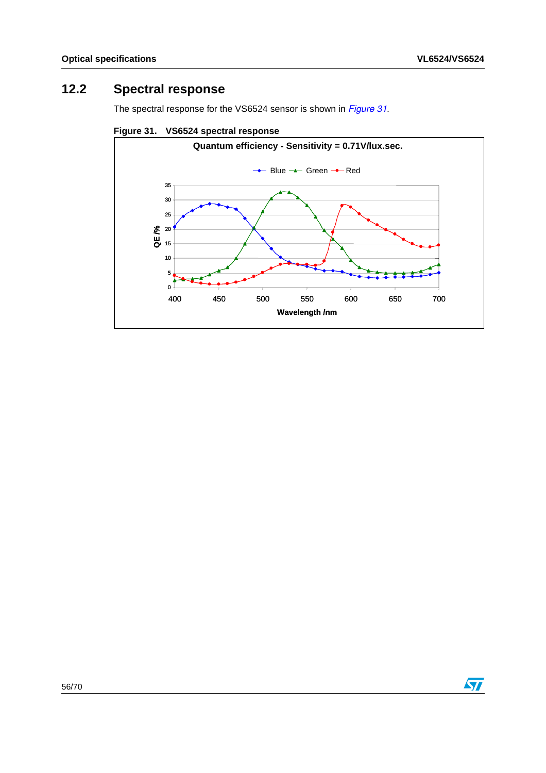## <span id="page-55-0"></span>**12.2 Spectral response**

The spectral response for the VS6524 sensor is shown in *[Figure 31](#page-55-1)*.

<span id="page-55-1"></span>**Figure 31. VS6524 spectral response**



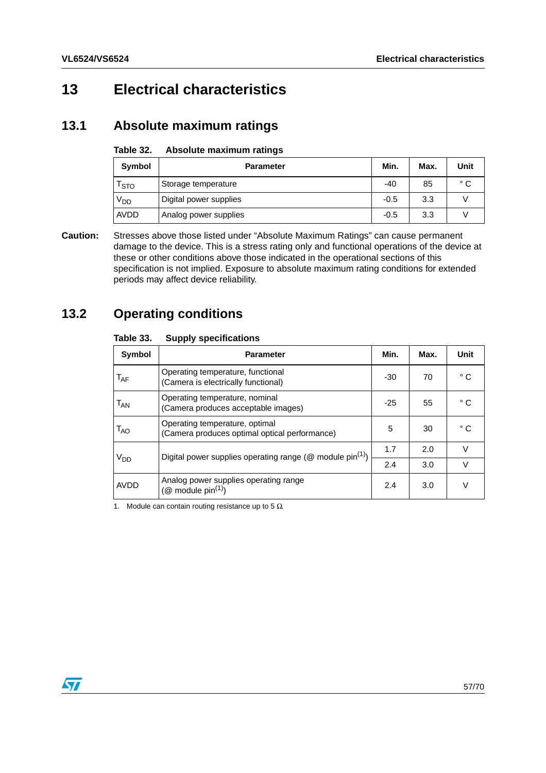# <span id="page-56-0"></span>**13 Electrical characteristics**

## <span id="page-56-1"></span>**13.1 Absolute maximum ratings**

#### <span id="page-56-3"></span>Table 32. **Absolute maximum ratings**

| Symbol           | <b>Parameter</b>       | Min.   | Max. | Unit         |
|------------------|------------------------|--------|------|--------------|
| <sup>1</sup> STO | Storage temperature    | -40    | 85   | $^{\circ}$ C |
| V <sub>DD</sub>  | Digital power supplies | $-0.5$ | 3.3  |              |
| AVDD             | Analog power supplies  | $-0.5$ | 3.3  |              |

**Caution:** Stresses above those listed under "Absolute Maximum Ratings" can cause permanent damage to the device. This is a stress rating only and functional operations of the device at these or other conditions above those indicated in the operational sections of this specification is not implied. Exposure to absolute maximum rating conditions for extended periods may affect device reliability.

## <span id="page-56-2"></span>**13.2 Operating conditions**

### <span id="page-56-4"></span>**Table 33. Supply specifications**

| טט טועו                    | <b>OUPPIY SPECINGGUONS</b>                                                      |       |      |              |
|----------------------------|---------------------------------------------------------------------------------|-------|------|--------------|
| <b>Symbol</b>              | <b>Parameter</b>                                                                | Min.  | Max. | <b>Unit</b>  |
| $T_{AF}$                   | Operating temperature, functional<br>(Camera is electrically functional)        | $-30$ | 70   | $^{\circ}$ C |
| $\mathsf{T}_{\mathsf{AN}}$ | Operating temperature, nominal<br>(Camera produces acceptable images)           | $-25$ | 55   | °C           |
| $T_{AO}$                   | Operating temperature, optimal<br>(Camera produces optimal optical performance) | 5     | 30   | °C           |
| V <sub>DD</sub>            | Digital power supplies operating range ( $@$ module pin <sup>(1)</sup> )        |       | 2.0  | $\vee$       |
|                            |                                                                                 | 2.4   | 3.0  | v            |
| <b>AVDD</b>                | Analog power supplies operating range<br>( $@$ module pin <sup>(1)</sup> )      | 2.4   | 3.0  | $\vee$       |

1. Module can contain routing resistance up to 5  $\Omega$ .

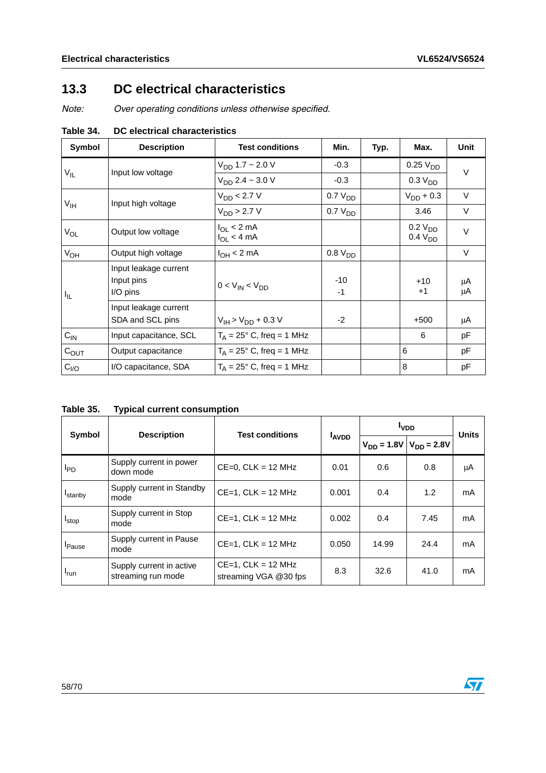## <span id="page-57-0"></span>**13.3 DC electrical characteristics**

*Note: Over operating conditions unless otherwise specified.*

| Symbol           | <b>Description</b>                              | <b>Test conditions</b>                   | Min.                | Typ. | Max.                                       | Unit     |  |
|------------------|-------------------------------------------------|------------------------------------------|---------------------|------|--------------------------------------------|----------|--|
|                  | Input low voltage                               | $V_{DD}$ 1.7 ~ 2.0 V                     | $-0.3$              |      | 0.25V <sub>DD</sub>                        | $\vee$   |  |
| $V_{IL}$         |                                                 | $V_{DD}$ 2.4 ~ 3.0 V                     | $-0.3$              |      | 0.3 V <sub>DD</sub>                        |          |  |
| $V_{\text{IH}}$  | Input high voltage                              | $V_{DD}$ < 2.7 V                         | $0.7 V_{DD}$        |      | $V_{DD}$ + 0.3                             | $\vee$   |  |
|                  |                                                 | $V_{DD}$ > 2.7 V                         | 0.7 V <sub>DD</sub> |      | 3.46                                       | V        |  |
| $V_{OL}$         | Output low voltage                              | $I_{\Omega I}$ < 2 mA<br>$I_{OL}$ < 4 mA |                     |      | 0.2 V <sub>DD</sub><br>0.4 V <sub>DD</sub> | V        |  |
| $V_{OH}$         | Output high voltage                             | $I_{OH}$ < 2 mA                          | 0.8 V <sub>DD</sub> |      |                                            | V        |  |
| I <sub>IL</sub>  | Input leakage current<br>Input pins<br>I/O pins | $0 < V_{IN} < V_{DD}$                    | $-10$<br>-1         |      | $+10$<br>$+1$                              | μA<br>μA |  |
|                  | Input leakage current<br>SDA and SCL pins       | $V_{IH}$ > $V_{DD}$ + 0.3 V              | $-2$                |      | $+500$                                     | μA       |  |
| $C_{IN}$         | Input capacitance, SCL                          | $T_A = 25^\circ$ C, freq = 1 MHz         |                     |      | 6                                          | рF       |  |
| $C_{OUT}$        | Output capacitance                              | $T_A = 25^\circ$ C, freq = 1 MHz         |                     |      | 6                                          | pF       |  |
| C <sub>I/O</sub> | I/O capacitance, SDA                            | $T_A = 25^\circ$ C, freq = 1 MHz         |                     |      | 8                                          | рF       |  |

<span id="page-57-1"></span>**Table 34. DC electrical characteristics**

<span id="page-57-2"></span>

| Table 35. |  | <b>Typical current consumption</b> |  |
|-----------|--|------------------------------------|--|
|           |  |                                    |  |

| <b>Symbol</b>       | <b>Description</b>                             | <b>Test conditions</b>                           |              | <b>I</b> <sub>VDD</sub> |                                 | <b>Units</b> |
|---------------------|------------------------------------------------|--------------------------------------------------|--------------|-------------------------|---------------------------------|--------------|
|                     |                                                |                                                  | <b>LAVDD</b> |                         | $V_{DD} = 1.8V   V_{DD} = 2.8V$ |              |
| <b>I</b> PD         | Supply current in power<br>down mode           | $CE=0$ , $CLK = 12$ MHz                          | 0.01         | 0.6                     | 0.8                             | μA           |
| <sup>I</sup> stanby | Supply current in Standby<br>mode              | $CE=1$ . CLK = 12 MHz                            | 0.001        | 0.4                     | 1.2                             | mA           |
| <b>I</b> stop       | Supply current in Stop<br>mode                 | $CE=1$ , $CLK = 12$ MHz                          | 0.002        | 0.4                     | 7.45                            | mA           |
| <b>I</b> Pause      | Supply current in Pause<br>mode                | $CE=1$ , $CLK = 12$ MHz                          | 0.050        | 14.99                   | 24.4                            | mA           |
| <sup>I</sup> run    | Supply current in active<br>streaming run mode | $CE=1$ , $CLK = 12$ MHz<br>streaming VGA @30 fps | 8.3          | 32.6                    | 41.0                            | mA           |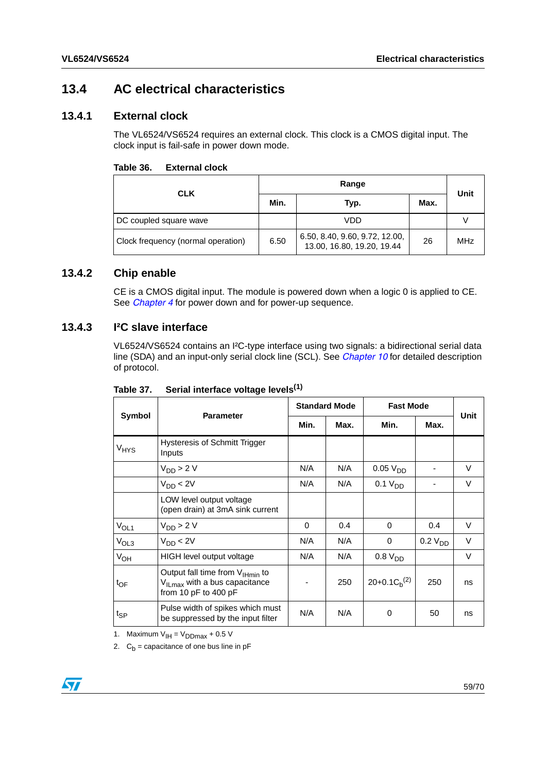## <span id="page-58-0"></span>**13.4 AC electrical characteristics**

### <span id="page-58-1"></span>**13.4.1 External clock**

The VL6524/VS6524 requires an external clock. This clock is a CMOS digital input. The clock input is fail-safe in power down mode.

<span id="page-58-4"></span>

| Table 36. | <b>External clock</b> |  |
|-----------|-----------------------|--|
|           |                       |  |

| <b>CLK</b>                         |      | Unit                                                         |      |            |
|------------------------------------|------|--------------------------------------------------------------|------|------------|
|                                    | Min. | Typ.                                                         | Max. |            |
| DC coupled square wave             |      | VDD                                                          |      |            |
| Clock frequency (normal operation) | 6.50 | 6.50, 8.40, 9.60, 9.72, 12.00,<br>13.00, 16.80, 19.20, 19.44 | 26   | <b>MHz</b> |

### <span id="page-58-2"></span>**13.4.2 Chip enable**

CE is a CMOS digital input. The module is powered down when a logic 0 is applied to CE. See *[Chapter 4](#page-12-0)* for power down and for power-up sequence.

### <span id="page-58-3"></span>**13.4.3 I²C slave interface**

VL6524/VS6524 contains an I²C-type interface using two signals: a bidirectional serial data line (SDA) and an input-only serial clock line (SCL). See *[Chapter 10](#page-31-0)* for detailed description of protocol.

|                  | <b>Parameter</b>                                                                                                     | <b>Standard Mode</b> |      | <b>Fast Mode</b>     |                     | Unit   |
|------------------|----------------------------------------------------------------------------------------------------------------------|----------------------|------|----------------------|---------------------|--------|
| Symbol           |                                                                                                                      | Min.                 | Max. | Min.                 | Max.                |        |
| $V_{HYS}$        | <b>Hysteresis of Schmitt Trigger</b><br>Inputs                                                                       |                      |      |                      |                     |        |
|                  | $V_{DD}$ > 2 V                                                                                                       | N/A                  | N/A  | 0.05 V <sub>DD</sub> |                     | V      |
|                  | $V_{DD}$ < 2V                                                                                                        | N/A                  | N/A  | 0.1 V <sub>DD</sub>  |                     | $\vee$ |
|                  | LOW level output voltage<br>(open drain) at 3mA sink current                                                         |                      |      |                      |                     |        |
| $V_{OL1}$        | $V_{DD}$ > 2 V                                                                                                       | $\Omega$             | 0.4  | 0                    | 0.4                 | $\vee$ |
| V <sub>OL3</sub> | $V_{DD}$ < 2V                                                                                                        | N/A                  | N/A  | 0                    | 0.2 V <sub>DD</sub> | V      |
| $V_{OH}$         | HIGH level output voltage                                                                                            | N/A                  | N/A  | 0.8 V <sub>DD</sub>  |                     | V      |
| $t_{OF}$         | Output fall time from V <sub>IHmin</sub> to<br>V <sub>ILmax</sub> with a bus capacitance<br>from 10 $pF$ to 400 $pF$ |                      | 250  | $20+0.1C_h^{(2)}$    | 250                 | ns     |
| $t_{\sf SP}$     | Pulse width of spikes which must<br>be suppressed by the input filter                                                | N/A                  | N/A  | 0                    | 50                  | ns     |

<span id="page-58-5"></span>Table 37. Serial interface voltage levels<sup>(1)</sup>

1. Maximum  $V_{IH} = V_{DDmax} + 0.5 V$ 

2.  $C_b$  = capacitance of one bus line in pF

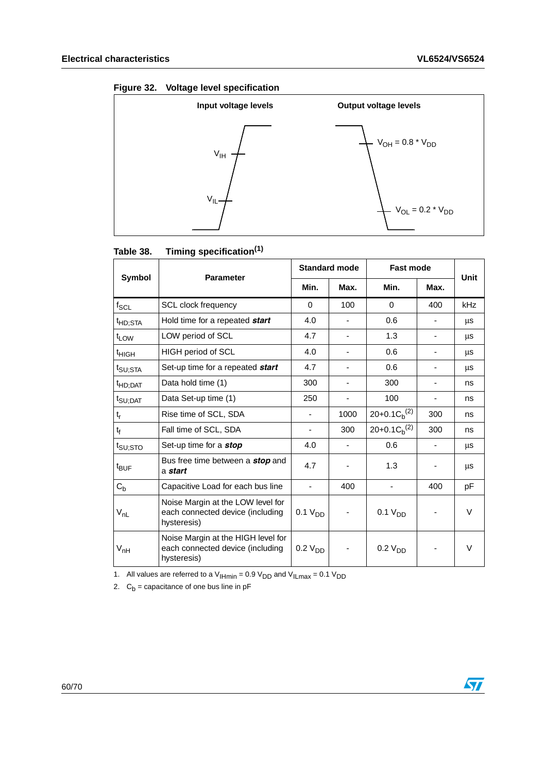<span id="page-59-1"></span>

|  |  | Figure 32. Voltage level specification |
|--|--|----------------------------------------|
|--|--|----------------------------------------|



<span id="page-59-0"></span>

| Timing specification <sup>(1)</sup><br>Table 38. |
|--------------------------------------------------|
|--------------------------------------------------|

|                     | <b>Parameter</b>                                                                      | <b>Standard mode</b> |      | <b>Fast mode</b>    |                          | Unit       |
|---------------------|---------------------------------------------------------------------------------------|----------------------|------|---------------------|--------------------------|------------|
| <b>Symbol</b>       |                                                                                       | Min.                 | Max. | Min.                | Max.                     |            |
| $f_{\rm SCL}$       | <b>SCL clock frequency</b>                                                            | $\Omega$             | 100  | $\Omega$            | 400                      | <b>kHz</b> |
| <sup>t</sup> HD;STA | Hold time for a repeated start                                                        | 4.0                  |      | 0.6                 |                          | μs         |
| $t_{LOW}$           | LOW period of SCL                                                                     | 4.7                  |      | 1.3                 |                          | μs         |
| <sup>t</sup> HIGH   | HIGH period of SCL                                                                    | 4.0                  |      | 0.6                 |                          | μs         |
| t <sub>SU;STA</sub> | Set-up time for a repeated start                                                      | 4.7                  |      | 0.6                 |                          | μs         |
| <sup>t</sup> HD;DAT | Data hold time (1)                                                                    | 300                  | ۰    | 300                 | $\overline{\phantom{a}}$ | ns         |
| $t_{\text{SU;DAT}}$ | Data Set-up time (1)                                                                  | 250                  |      | 100                 |                          | ns         |
| $t_r$               | Rise time of SCL, SDA                                                                 |                      | 1000 | $20+0.1C_h^{(2)}$   | 300                      | ns         |
| $t_f$               | Fall time of SCL, SDA                                                                 |                      | 300  | $20+0.1C_h^{(2)}$   | 300                      | ns         |
| t <sub>SU;STO</sub> | Set-up time for a stop                                                                | 4.0                  |      | 0.6                 |                          | μs         |
| $t_{\text{BUF}}$    | Bus free time between a <i>stop</i> and<br>a start                                    | 4.7                  |      | 1.3                 |                          | μs         |
| $C_{b}$             | Capacitive Load for each bus line                                                     |                      | 400  |                     | 400                      | pF         |
| $V_{nL}$            | Noise Margin at the LOW level for<br>each connected device (including<br>hysteresis)  | 0.1 V <sub>DD</sub>  |      | 0.1 V <sub>DD</sub> |                          | V          |
| $V_{nH}$            | Noise Margin at the HIGH level for<br>each connected device (including<br>hysteresis) | 0.2 V <sub>DD</sub>  |      | 0.2 V <sub>DD</sub> |                          | $\vee$     |

1. All values are referred to a  $V_{\text{IHmin}} = 0.9 V_{\text{DD}}$  and  $V_{\text{ILmax}} = 0.1 V_{\text{DD}}$ 

2.  $C_b$  = capacitance of one bus line in pF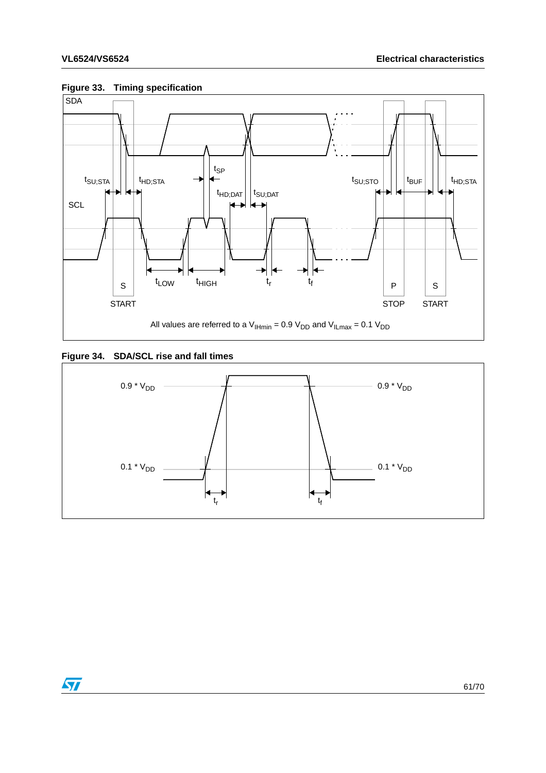

### <span id="page-60-0"></span>**Figure 33. Timing specification**

### <span id="page-60-1"></span>**Figure 34. SDA/SCL rise and fall times**



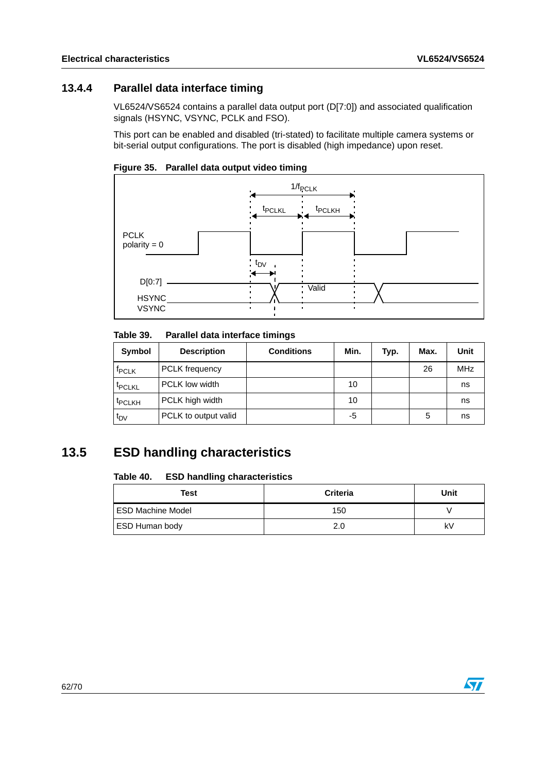## <span id="page-61-0"></span>**13.4.4 Parallel data interface timing**

VL6524/VS6524 contains a parallel data output port (D[7:0]) and associated qualification signals (HSYNC, VSYNC, PCLK and FSO).

This port can be enabled and disabled (tri-stated) to facilitate multiple camera systems or bit-serial output configurations. The port is disabled (high impedance) upon reset.

<span id="page-61-4"></span>



#### <span id="page-61-2"></span>Table 39. **Parallel data interface timings**

| Symbol             | <b>Description</b>    | <b>Conditions</b> | Min. | Typ. | Max. | Unit       |
|--------------------|-----------------------|-------------------|------|------|------|------------|
| <b>TPCLK</b>       | PCLK frequency        |                   |      |      | 26   | <b>MHz</b> |
| <sup>T</sup> PCLKL | <b>PCLK low width</b> |                   | 10   |      |      | ns         |
| <sup>t</sup> PCLKH | PCLK high width       |                   | 10   |      |      | ns         |
| t <sub>DV</sub>    | PCLK to output valid  |                   | -5   |      | 5    | ns         |

## <span id="page-61-1"></span>**13.5 ESD handling characteristics**

#### <span id="page-61-3"></span>Table 40. **ESD handling characteristics**

| Test                | <b>Criteria</b> | Unit |
|---------------------|-----------------|------|
| I ESD Machine Model | 150             |      |
| ESD Human body      | 2.0             | k۷   |

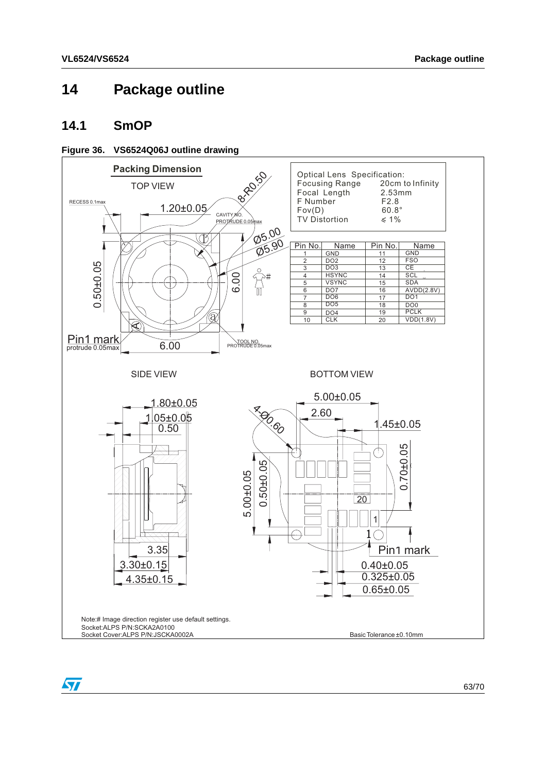## <span id="page-62-0"></span>**14 Package outline**

### <span id="page-62-1"></span>**14.1 SmOP**

### <span id="page-62-2"></span>**Figure 36. VS6524Q06J outline drawing**

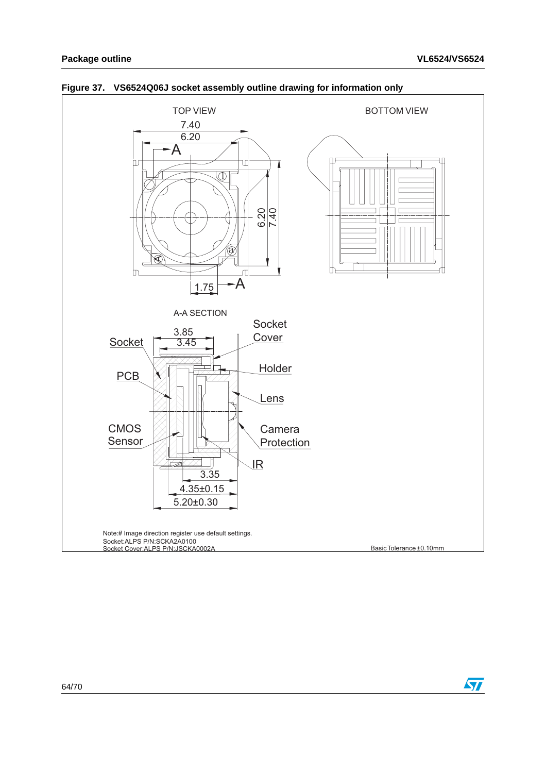

### <span id="page-63-0"></span>**Figure 37. VS6524Q06J socket assembly outline drawing for information only**

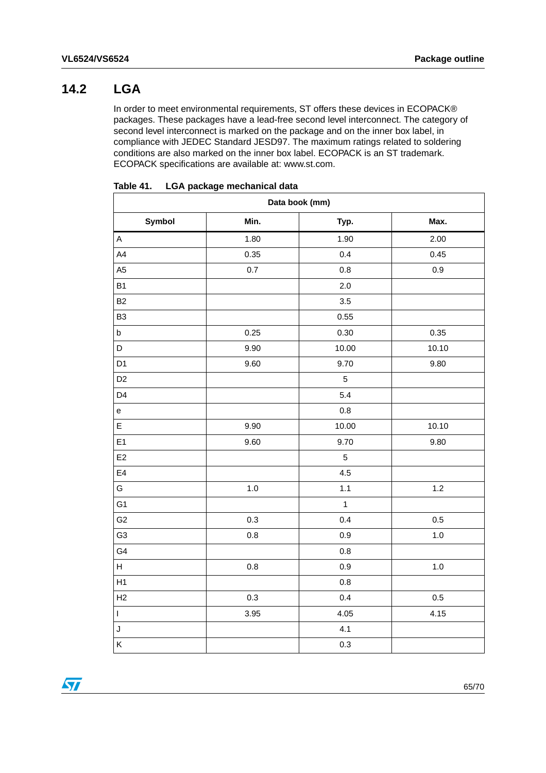## <span id="page-64-0"></span>**14.2 LGA**

In order to meet environmental requirements, ST offers these devices in ECOPACK® packages. These packages have a lead-free second level interconnect. The category of second level interconnect is marked on the package and on the inner box label, in compliance with JEDEC Standard JESD97. The maximum ratings related to soldering conditions are also marked on the inner box label. ECOPACK is an ST trademark. ECOPACK specifications are available at: www.st.com.

| Data book (mm)                    |         |              |         |  |  |
|-----------------------------------|---------|--------------|---------|--|--|
| Symbol                            | Min.    | Typ.         | Max.    |  |  |
| $\mathsf A$                       | 1.80    | 1.90         | 2.00    |  |  |
| $\mathsf{A4}$                     | 0.35    | 0.4          | 0.45    |  |  |
| A <sub>5</sub>                    | 0.7     | 0.8          | $0.9\,$ |  |  |
| B <sub>1</sub>                    |         | 2.0          |         |  |  |
| <b>B2</b>                         |         | 3.5          |         |  |  |
| B <sub>3</sub>                    |         | 0.55         |         |  |  |
| $\sf b$                           | 0.25    | 0.30         | 0.35    |  |  |
| $\mathsf D$                       | 9.90    | 10.00        | 10.10   |  |  |
| D <sub>1</sub>                    | 9.60    | 9.70         | 9.80    |  |  |
| D <sub>2</sub>                    |         | $\mathbf 5$  |         |  |  |
| D <sub>4</sub>                    |         | 5.4          |         |  |  |
| $\mathsf{e}% _{t}\left( t\right)$ |         | $0.8\,$      |         |  |  |
| E                                 | 9.90    | 10.00        | 10.10   |  |  |
| E <sub>1</sub>                    | 9.60    | 9.70         | 9.80    |  |  |
| E <sub>2</sub>                    |         | $\mathbf 5$  |         |  |  |
| E4                                |         | 4.5          |         |  |  |
| G                                 | 1.0     | 1.1          | $1.2$   |  |  |
| G <sub>1</sub>                    |         | $\mathbf{1}$ |         |  |  |
| G <sub>2</sub>                    | 0.3     | 0.4          | 0.5     |  |  |
| G <sub>3</sub>                    | $0.8\,$ | 0.9          | 1.0     |  |  |
| G4                                |         | 0.8          |         |  |  |
| H                                 | 0.8     | 0.9          | $1.0$   |  |  |
| H1                                |         | 0.8          |         |  |  |
| H2                                | $0.3\,$ | 0.4          | 0.5     |  |  |
| $\overline{1}$                    | 3.95    | 4.05         | 4.15    |  |  |
| J                                 |         | 4.1          |         |  |  |
| Κ                                 |         | 0.3          |         |  |  |

#### <span id="page-64-1"></span>Table 41. **LGA package mechanical data**

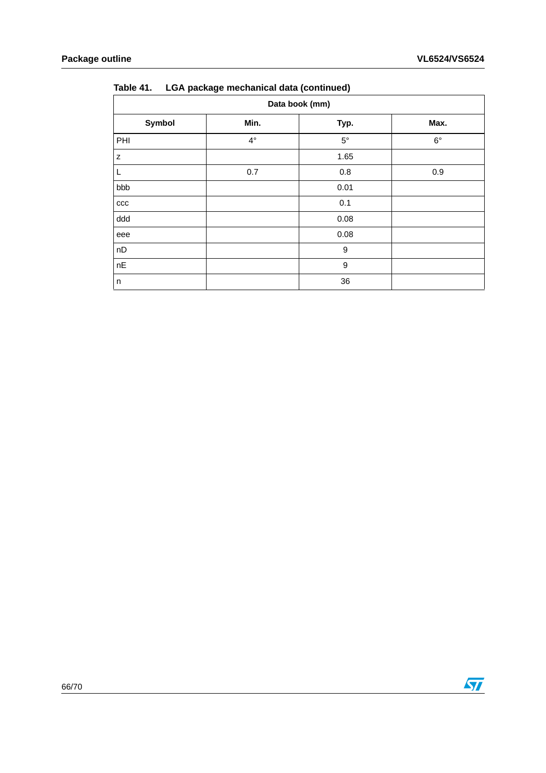| .<br>- 1------------ |             |                  |             |  |  |  |
|----------------------|-------------|------------------|-------------|--|--|--|
| Data book (mm)       |             |                  |             |  |  |  |
| Symbol               | Min.        | Typ.             | Max.        |  |  |  |
| PHI                  | $4^{\circ}$ | $5^{\circ}$      | $6^{\circ}$ |  |  |  |
| z                    |             | 1.65             |             |  |  |  |
| L                    | 0.7         | 0.8              | 0.9         |  |  |  |
| bbb                  |             | 0.01             |             |  |  |  |
| $_{\rm ccc}$         |             | 0.1              |             |  |  |  |
| ddd                  |             | 0.08             |             |  |  |  |
| eee                  |             | 0.08             |             |  |  |  |
| nD                   |             | $\boldsymbol{9}$ |             |  |  |  |
| $nE$                 |             | 9                |             |  |  |  |
| n                    |             | 36               |             |  |  |  |

### **Table 41. LGA package mechanical data (continued)**

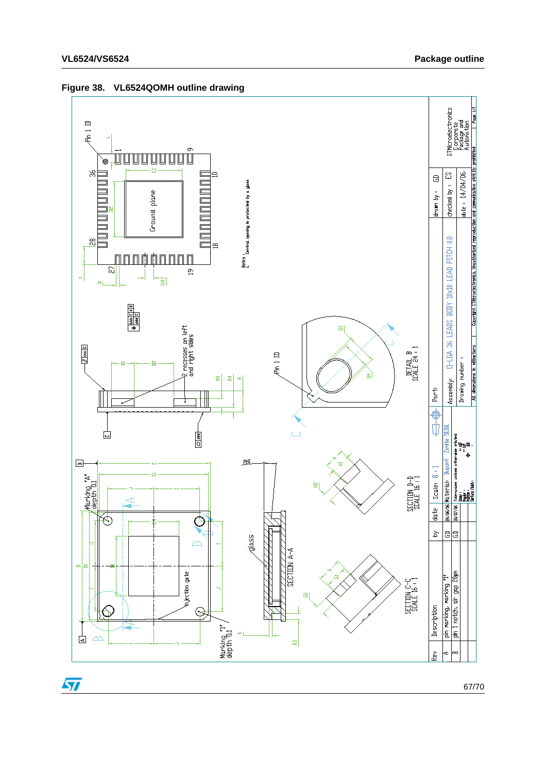

### <span id="page-66-0"></span>**Figure 38. VL6524QOMH outline drawing**

67/70

 $\sqrt{2}$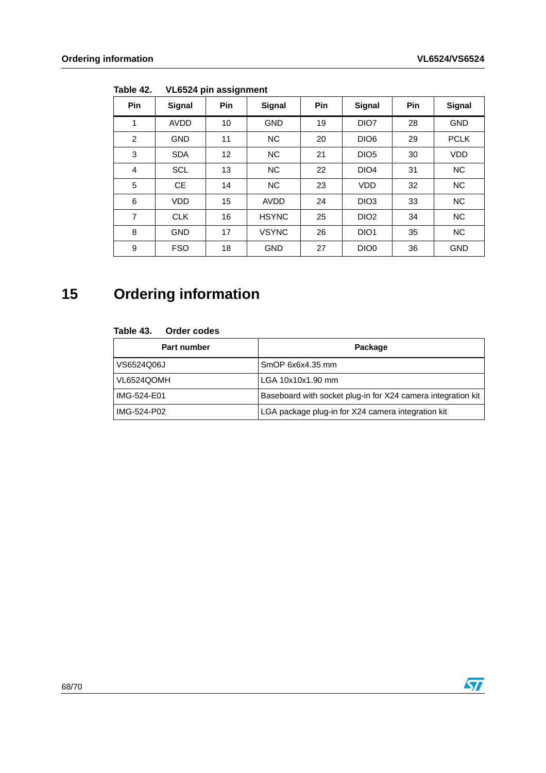| <b>Pin</b> | Signal      | Pin | Signal       | Pin | Signal           | Pin | Signal      |
|------------|-------------|-----|--------------|-----|------------------|-----|-------------|
| 1          | <b>AVDD</b> | 10  | <b>GND</b>   | 19  | DIO7             | 28  | <b>GND</b>  |
| 2          | <b>GND</b>  | 11  | <b>NC</b>    | 20  | DIO <sub>6</sub> | 29  | <b>PCLK</b> |
| 3          | <b>SDA</b>  | 12  | <b>NC</b>    | 21  | DIO <sub>5</sub> | 30  | <b>VDD</b>  |
| 4          | <b>SCL</b>  | 13  | <b>NC</b>    | 22  | DIO <sub>4</sub> | 31  | <b>NC</b>   |
| 5          | <b>CE</b>   | 14  | <b>NC</b>    | 23  | <b>VDD</b>       | 32  | <b>NC</b>   |
| 6          | <b>VDD</b>  | 15  | <b>AVDD</b>  | 24  | DIO <sub>3</sub> | 33  | <b>NC</b>   |
| 7          | <b>CLK</b>  | 16  | <b>HSYNC</b> | 25  | DIO <sub>2</sub> | 34  | <b>NC</b>   |
| 8          | <b>GND</b>  | 17  | <b>VSYNC</b> | 26  | DIO <sub>1</sub> | 35  | NC          |
| 9          | <b>FSO</b>  | 18  | <b>GND</b>   | 27  | DIO <sub>0</sub> | 36  | <b>GND</b>  |

<span id="page-67-1"></span>Table 42. **YL6524 pin assignment** 

# <span id="page-67-0"></span>**15 Ordering information**

#### <span id="page-67-2"></span>Table 43. **Order codes**

| Part number | Package                                                      |
|-------------|--------------------------------------------------------------|
| VS6524Q06J  | SmOP 6x6x4.35 mm                                             |
| VL6524QOMH  | LGA 10x10x1.90 mm                                            |
| IMG-524-E01 | Baseboard with socket plug-in for X24 camera integration kit |
| IMG-524-P02 | LGA package plug-in for X24 camera integration kit           |

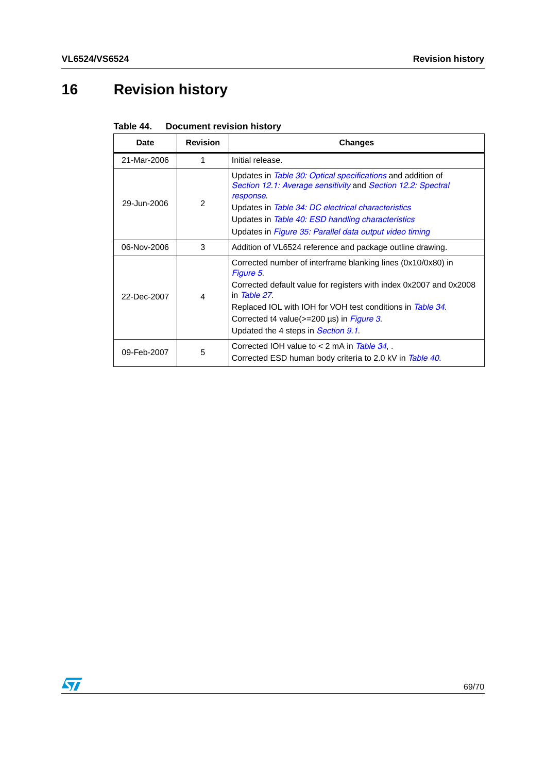# <span id="page-68-0"></span>**16 Revision history**

<span id="page-68-1"></span>

| Table 44. | <b>Document revision history</b> |  |  |
|-----------|----------------------------------|--|--|
|-----------|----------------------------------|--|--|

| Date        | <b>Revision</b> | <b>Changes</b>                                                                                                                                                                                                                                                                                                        |
|-------------|-----------------|-----------------------------------------------------------------------------------------------------------------------------------------------------------------------------------------------------------------------------------------------------------------------------------------------------------------------|
| 21-Mar-2006 | 1               | Initial release.                                                                                                                                                                                                                                                                                                      |
| 29-Jun-2006 | $\mathcal{P}$   | Updates in <i>Table 30: Optical specifications</i> and addition of<br>Section 12.1: Average sensitivity and Section 12.2: Spectral<br>response.<br>Updates in Table 34: DC electrical characteristics<br>Updates in Table 40: ESD handling characteristics<br>Updates in Figure 35: Parallel data output video timing |
| 06-Nov-2006 | 3               | Addition of VL6524 reference and package outline drawing.                                                                                                                                                                                                                                                             |
| 22-Dec-2007 | 4               | Corrected number of interframe blanking lines (0x10/0x80) in<br>Figure 5.<br>Corrected default value for registers with index 0x2007 and 0x2008<br>in Table 27.<br>Replaced IOL with IOH for VOH test conditions in Table 34.<br>Corrected t4 value( $>=$ 200 µs) in Figure 3.<br>Updated the 4 steps in Section 9.1. |
| 09-Feb-2007 | 5               | Corrected IOH value to $<$ 2 mA in Table 34, .<br>Corrected ESD human body criteria to 2.0 kV in Table 40.                                                                                                                                                                                                            |